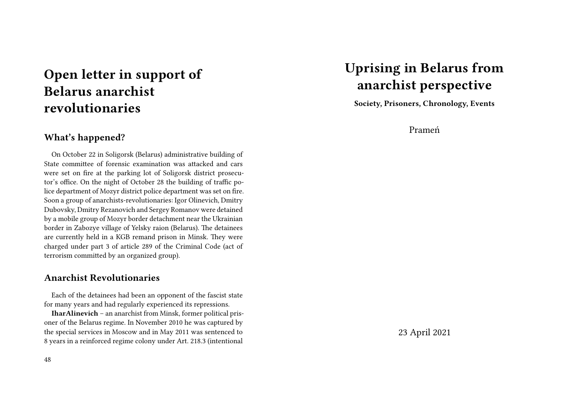## **Open letter in support of Belarus anarchist revolutionaries**

### **What's happened?**

On October 22 in Soligorsk (Belarus) administrative building of State committee of forensic examination was attacked and cars were set on fire at the parking lot of Soligorsk district prosecutor's office. On the night of October 28 the building of traffic police department of Mozyr district police department was set on fire. Soon a group of anarchists-revolutionaries: Igor Olinevich, Dmitry Dubovsky, Dmitry Rezanovich and Sergey Romanov were detained by a mobile group of Mozyr border detachment near the Ukrainian border in Zabozye village of Yelsky raion (Belarus). The detainees are currently held in a KGB remand prison in Minsk. They were charged under part 3 of article 289 of the Criminal Code (act of terrorism committed by an organized group).

### **Anarchist Revolutionaries**

Each of the detainees had been an opponent of the fascist state for many years and had regularly experienced its repressions.

**IharAlinevich** – an anarchist from Minsk, former political prisoner of the Belarus regime. In November 2010 he was captured by the special services in Moscow and in May 2011 was sentenced to 8 years in a reinforced regime colony under Art. 218.3 (intentional

## **Uprising in Belarus from anarchist perspective**

**Society, Prisoners, Chronology, Events**

Prameń

23 April 2021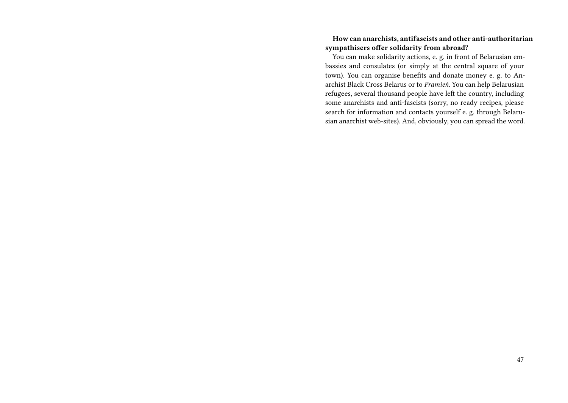#### **How can anarchists, antifascists and other anti-authoritarian sympathisers offer solidarity from abroad?**

You can make solidarity actions, e. g. in front of Belarusian embassies and consulates (or simply at the central square of your town). You can organise benefits and donate money e. g. to Anarchist Black Cross Belarus or to *Pramień*. You can help Belarusian refugees, several thousand people have left the country, including some anarchists and anti-fascists (sorry, no ready recipes, please search for information and contacts yourself e. g. through Belarusian anarchist web-sites). And, obviously, you can spread the word.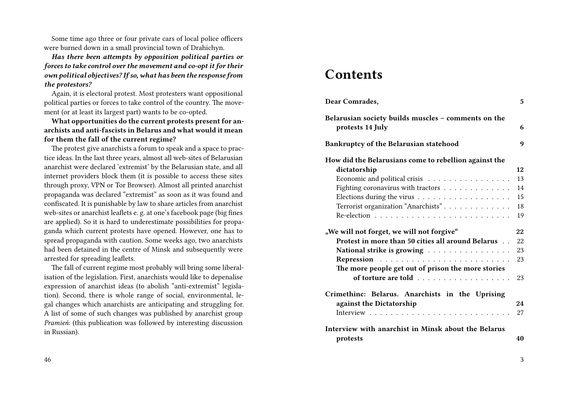Some time ago three or four private cars of local police officers were burned down in a small provincial town of Drahichyn.

*Has there been attempts by opposition political parties or forces to take control over the movement and co-opt it for their own political objectives? If so, what has been the response from the protestors?*

Again, it is electoral protest. Most protesters want oppositional political parties or forces to take control of the country. The movement (or at least its largest part) wants to be co-opted.

**What opportunities do the current protests present for anarchists and anti-fascists in Belarus and what would it mean for them the fall of the current regime?**

The protest give anarchists a forum to speak and a space to practice ideas. In the last three years, almost all web-sites of Belarusian anarchist were declared 'extremist' by the Belarusian state, and all internet providers block them (it is possible to access these sites through proxy, VPN or Tor Browser). Almost all printed anarchist propaganda was declared "extremist" as soon as it was found and confiscated. It is punishable by law to share articles from anarchist web-sites or anarchist leaflets e. g. at one's facebook page (big fines are applied). So it is hard to underestimate possibilities for propaganda which current protests have opened. However, one has to spread propaganda with caution. Some weeks ago, two anarchists had been detained in the centre of Minsk and subsequently were arrested for spreading leaflets.

The fall of current regime most probably will bring some liberalisation of the legislation. First, anarchists would like to depenalise expression of anarchist ideas (to abolish "anti-extremist" legislation). Second, there is whole range of social, environmental, legal changes which anarchists are anticipating and struggling for. A list of some of such changes was published by anarchist group *Pramień*: (this publication was followed by interesting discussion in Russian).

#### 46

### **Contents**

| Dear Comrades,                                                          | 5  |
|-------------------------------------------------------------------------|----|
| Belarusian society builds muscles - comments on the<br>protests 14 July | 6  |
| Bankruptcy of the Belarusian statehood                                  | 9  |
| How did the Belarusians come to rebellion against the                   |    |
| dictatorship                                                            | 12 |
| Economic and political crisis                                           | 13 |
| Fighting coronavirus with tractors                                      | 14 |
|                                                                         | 15 |
| Terrorist organization "Anarchists".                                    | 18 |
|                                                                         | 19 |
| "We will not forget, we will not forgive"                               | 22 |
| Protest in more than 50 cities all around Belarus                       | 22 |
| National strike is growing                                              | 23 |
|                                                                         | 23 |
| The more people get out of prison the more stories                      |    |
| of torture are told                                                     | 23 |
| Crimethinc: Belarus. Anarchists in the Uprising                         |    |
| against the Dictatorship                                                | 24 |
|                                                                         | 27 |
| Interview with anarchist in Minsk about the Belarus                     |    |
| protests                                                                | 40 |

3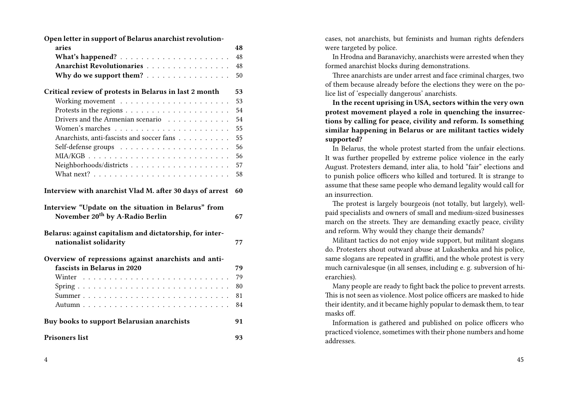| Open letter in support of Belarus anarchist revolution-                                            |    |
|----------------------------------------------------------------------------------------------------|----|
| aries                                                                                              | 48 |
|                                                                                                    | 48 |
| Anarchist Revolutionaries                                                                          | 48 |
| Why do we support them?                                                                            | 50 |
| Critical review of protests in Belarus in last 2 month                                             | 53 |
|                                                                                                    | 53 |
|                                                                                                    | 54 |
| Drivers and the Armenian scenario                                                                  | 54 |
|                                                                                                    | 55 |
| Anarchists, anti-fascists and soccer fans                                                          | 55 |
|                                                                                                    | 56 |
|                                                                                                    | 56 |
|                                                                                                    | 57 |
|                                                                                                    | 58 |
|                                                                                                    |    |
| Interview with anarchist Vlad M. after 30 days of arrest                                           | 60 |
| Interview "Update on the situation in Belarus" from<br>November 20 <sup>th</sup> by A-Radio Berlin | 67 |
| Belarus: against capitalism and dictatorship, for inter-<br>nationalist solidarity                 | 77 |
| Overview of repressions against anarchists and anti-                                               |    |
| fascists in Belarus in 2020                                                                        | 79 |
|                                                                                                    | 79 |
|                                                                                                    | 80 |
|                                                                                                    | 81 |
|                                                                                                    | 84 |
|                                                                                                    |    |
| Buy books to support Belarusian anarchists                                                         | 91 |
| <b>Prisoners list</b>                                                                              | 93 |

cases, not anarchists, but feminists and human rights defenders were targeted by police.

In Hrodna and Baranavichy, anarchists were arrested when they formed anarchist blocks during demonstrations.

Three anarchists are under arrest and face criminal charges, two of them because already before the elections they were on the police list of 'especially dangerous' anarchists.

**In the recent uprising in USA, sectors within the very own protest movement played a role in quenching the insurrections by calling for peace, civility and reform. Is something similar happening in Belarus or are militant tactics widely supported?**

In Belarus, the whole protest started from the unfair elections. It was further propelled by extreme police violence in the early August. Protesters demand, inter alia, to hold "fair" elections and to punish police officers who killed and tortured. It is strange to assume that these same people who demand legality would call for an insurrection.

The protest is largely bourgeois (not totally, but largely), wellpaid specialists and owners of small and medium-sized businesses march on the streets. They are demanding exactly peace, civility and reform. Why would they change their demands?

Militant tactics do not enjoy wide support, but militant slogans do. Protesters shout outward abuse at Lukashenka and his police, same slogans are repeated in graffiti, and the whole protest is very much carnivalesque (in all senses, including e. g. subversion of hierarchies).

Many people are ready to fight back the police to prevent arrests. This is not seen as violence. Most police officers are masked to hide their identity, and it became highly popular to demask them, to tear masks off.

Information is gathered and published on police officers who practiced violence, sometimes with their phone numbers and home addresses.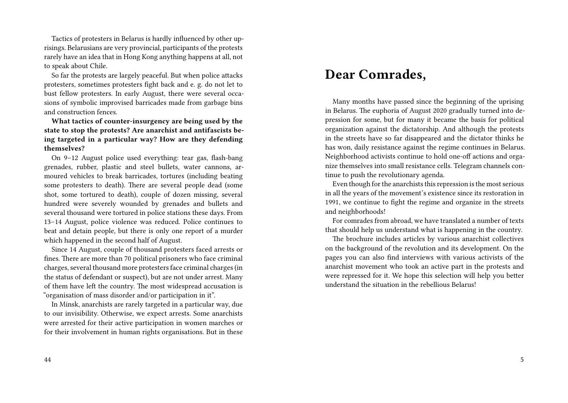Tactics of protesters in Belarus is hardly influenced by other uprisings. Belarusians are very provincial, participants of the protests rarely have an idea that in Hong Kong anything happens at all, not to speak about Chile.

So far the protests are largely peaceful. But when police attacks protesters, sometimes protesters fight back and e. g. do not let to bust fellow protesters. In early August, there were several occasions of symbolic improvised barricades made from garbage bins and construction fences.

**What tactics of counter-insurgency are being used by the state to stop the protests? Are anarchist and antifascists being targeted in a particular way? How are they defending themselves?**

On 9–12 August police used everything: tear gas, flash-bang grenades, rubber, plastic and steel bullets, water cannons, armoured vehicles to break barricades, tortures (including beating some protesters to death). There are several people dead (some shot, some tortured to death), couple of dozen missing, several hundred were severely wounded by grenades and bullets and several thousand were tortured in police stations these days. From 13–14 August, police violence was reduced. Police continues to beat and detain people, but there is only one report of a murder which happened in the second half of August.

Since 14 August, couple of thousand protesters faced arrests or fines. There are more than 70 political prisoners who face criminal charges, several thousand more protesters face criminal charges (in the status of defendant or suspect), but are not under arrest. Many of them have left the country. The most widespread accusation is "organisation of mass disorder and/or participation in it".

In Minsk, anarchists are rarely targeted in a particular way, due to our invisibility. Otherwise, we expect arrests. Some anarchists were arrested for their active participation in women marches or for their involvement in human rights organisations. But in these

#### 44

## **Dear Comrades,**

Many months have passed since the beginning of the uprising in Belarus. The euphoria of August 2020 gradually turned into depression for some, but for many it became the basis for political organization against the dictatorship. And although the protests in the streets have so far disappeared and the dictator thinks he has won, daily resistance against the regime continues in Belarus. Neighborhood activists continue to hold one-off actions and organize themselves into small resistance cells. Telegram channels continue to push the revolutionary agenda.

Even though for the anarchists this repression is the most serious in all the years of the movement's existence since its restoration in 1991, we continue to fight the regime and organize in the streets and neighborhoods!

For comrades from abroad, we have translated a number of texts that should help us understand what is happening in the country.

The brochure includes articles by various anarchist collectives on the background of the revolution and its development. On the pages you can also find interviews with various activists of the anarchist movement who took an active part in the protests and were repressed for it. We hope this selection will help you better understand the situation in the rebellious Belarus!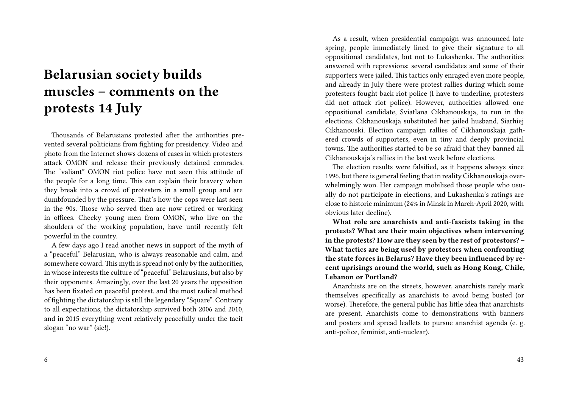# **Belarusian society builds muscles – comments on the protests 14 July**

Thousands of Belarusians protested after the authorities prevented several politicians from fighting for presidency. Video and photo from the Internet shows dozens of cases in which protesters attack OMON and release their previously detained comrades. The "valiant" OMON riot police have not seen this attitude of the people for a long time. This can explain their bravery when they break into a crowd of protesters in a small group and are dumbfounded by the pressure. That's how the cops were last seen in the 90s. Those who served then are now retired or working in offices. Cheeky young men from OMON, who live on the shoulders of the working population, have until recently felt powerful in the country.

A few days ago I read another news in support of the myth of a "peaceful" Belarusian, who is always reasonable and calm, and somewhere coward. This myth is spread not only by the authorities, in whose interests the culture of "peaceful" Belarusians, but also by their opponents. Amazingly, over the last 20 years the opposition has been fixated on peaceful protest, and the most radical method of fighting the dictatorship is still the legendary "Square". Contrary to all expectations, the dictatorship survived both 2006 and 2010, and in 2015 everything went relatively peacefully under the tacit slogan "no war" (sic!).

As a result, when presidential campaign was announced late spring, people immediately lined to give their signature to all oppositional candidates, but not to Lukashenka. The authorities answered with repressions: several candidates and some of their supporters were jailed. This tactics only enraged even more people, and already in July there were protest rallies during which some protesters fought back riot police (I have to underline, protesters did not attack riot police). However, authorities allowed one oppositional candidate, Sviatlana Cikhanouskaja, to run in the elections. Cikhanouskaja substituted her jailed husband, Siarhiej Cikhanouski. Election campaign rallies of Cikhanouskaja gathered crowds of supporters, even in tiny and deeply provincial towns. The authorities started to be so afraid that they banned all Cikhanouskaja's rallies in the last week before elections.

The election results were falsified, as it happens always since 1996, but there is general feeling that in reality Cikhanouskaja overwhelmingly won. Her campaign mobilised those people who usually do not participate in elections, and Lukashenka's ratings are close to historic minimum (24% in Minsk in March-April 2020, with obvious later decline).

**What role are anarchists and anti-fascists taking in the protests? What are their main objectives when intervening in the protests? How are they seen by the rest of protestors? – What tactics are being used by protestors when confronting the state forces in Belarus? Have they been influenced by recent uprisings around the world, such as Hong Kong, Chile, Lebanon or Portland?**

Anarchists are on the streets, however, anarchists rarely mark themselves specifically as anarchists to avoid being busted (or worse). Therefore, the general public has little idea that anarchists are present. Anarchists come to demonstrations with banners and posters and spread leaflets to pursue anarchist agenda (e. g. anti-police, feminist, anti-nuclear).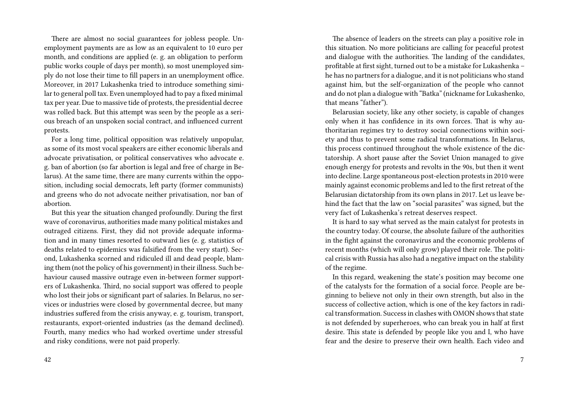There are almost no social guarantees for jobless people. Unemployment payments are as low as an equivalent to 10 euro per month, and conditions are applied (e. g. an obligation to perform public works couple of days per month), so most unemployed simply do not lose their time to fill papers in an unemployment office. Moreover, in 2017 Lukashenka tried to introduce something similar to general poll tax. Even unemployed had to pay a fixed minimal tax per year. Due to massive tide of protests, the presidential decree was rolled back. But this attempt was seen by the people as a serious breach of an unspoken social contract, and influenced current protests.

For a long time, political opposition was relatively unpopular, as some of its most vocal speakers are either economic liberals and advocate privatisation, or political conservatives who advocate e. g. ban of abortion (so far abortion is legal and free of charge in Belarus). At the same time, there are many currents within the opposition, including social democrats, left party (former communists) and greens who do not advocate neither privatisation, nor ban of abortion.

But this year the situation changed profoundly. During the first wave of coronavirus, authorities made many political mistakes and outraged citizens. First, they did not provide adequate information and in many times resorted to outward lies (e. g. statistics of deaths related to epidemics was falsified from the very start). Second, Lukashenka scorned and ridiculed ill and dead people, blaming them (not the policy of his government) in their illness. Such behaviour caused massive outrage even in-between former supporters of Lukashenka. Third, no social support was offered to people who lost their jobs or significant part of salaries. In Belarus, no services or industries were closed by governmental decree, but many industries suffered from the crisis anyway, e. g. tourism, transport, restaurants, export-oriented industries (as the demand declined). Fourth, many medics who had worked overtime under stressful and risky conditions, were not paid properly.

The absence of leaders on the streets can play a positive role in this situation. No more politicians are calling for peaceful protest and dialogue with the authorities. The landing of the candidates, profitable at first sight, turned out to be a mistake for Lukashenka – he has no partners for a dialogue, and it is not politicians who stand against him, but the self-organization of the people who cannot and do not plan a dialogue with "Batka" (nickname for Lukashenko, that means "father").

Belarusian society, like any other society, is capable of changes only when it has confidence in its own forces. That is why authoritarian regimes try to destroy social connections within society and thus to prevent some radical transformations. In Belarus, this process continued throughout the whole existence of the dictatorship. A short pause after the Soviet Union managed to give enough energy for protests and revolts in the 90s, but then it went into decline. Large spontaneous post-election protests in 2010 were mainly against economic problems and led to the first retreat of the Belarusian dictatorship from its own plans in 2017. Let us leave behind the fact that the law on "social parasites" was signed, but the very fact of Lukashenka's retreat deserves respect.

It is hard to say what served as the main catalyst for protests in the country today. Of course, the absolute failure of the authorities in the fight against the coronavirus and the economic problems of recent months (which will only grow) played their role. The political crisis with Russia has also had a negative impact on the stability of the regime.

In this regard, weakening the state's position may become one of the catalysts for the formation of a social force. People are beginning to believe not only in their own strength, but also in the success of collective action, which is one of the key factors in radical transformation. Success in clashes with OMON shows that state is not defended by superheroes, who can break you in half at first desire. This state is defended by people like you and I, who have fear and the desire to preserve their own health. Each video and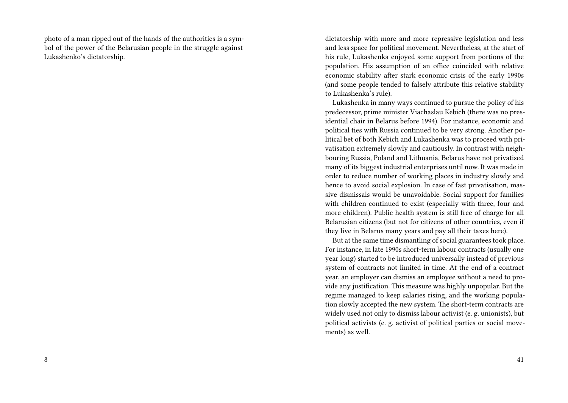photo of a man ripped out of the hands of the authorities is a symbol of the power of the Belarusian people in the struggle against Lukashenko's dictatorship.

dictatorship with more and more repressive legislation and less and less space for political movement. Nevertheless, at the start of his rule, Lukashenka enjoyed some support from portions of the population. His assumption of an office coincided with relative economic stability after stark economic crisis of the early 1990s (and some people tended to falsely attribute this relative stability to Lukashenka's rule).

Lukashenka in many ways continued to pursue the policy of his predecessor, prime minister Viachaslau Kebich (there was no presidential chair in Belarus before 1994). For instance, economic and political ties with Russia continued to be very strong. Another political bet of both Kebich and Lukashenka was to proceed with privatisation extremely slowly and cautiously. In contrast with neighbouring Russia, Poland and Lithuania, Belarus have not privatised many of its biggest industrial enterprises until now. It was made in order to reduce number of working places in industry slowly and hence to avoid social explosion. In case of fast privatisation, massive dismissals would be unavoidable. Social support for families with children continued to exist (especially with three, four and more children). Public health system is still free of charge for all Belarusian citizens (but not for citizens of other countries, even if they live in Belarus many years and pay all their taxes here).

But at the same time dismantling of social guarantees took place. For instance, in late 1990s short-term labour contracts (usually one year long) started to be introduced universally instead of previous system of contracts not limited in time. At the end of a contract year, an employer can dismiss an employee without a need to provide any justification. This measure was highly unpopular. But the regime managed to keep salaries rising, and the working population slowly accepted the new system. The short-term contracts are widely used not only to dismiss labour activist (e. g. unionists), but political activists (e. g. activist of political parties or social movements) as well.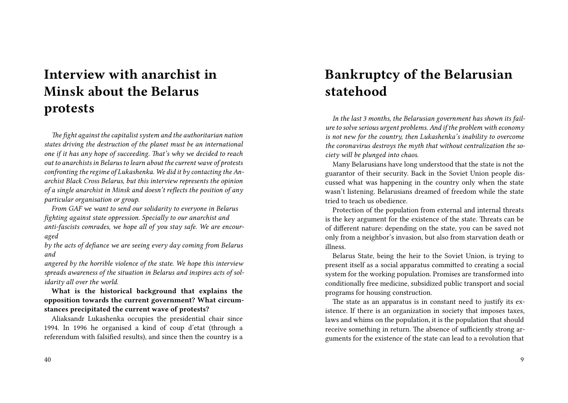# **Interview with anarchist in Minsk about the Belarus protests**

*The fight against the capitalist system and the authoritarian nation states driving the destruction of the planet must be an international one if it has any hope of succeeding. That's why we decided to reach out to anarchists in Belarus to learn about the current wave of protests confronting the regime of Lukashenka. We did it by contacting the Anarchist Black Cross Belarus, but this interview represents the opinion of a single anarchist in Minsk and doesn't reflects the position of any particular organisation or group.*

*From GAF we want to send our solidarity to everyone in Belarus fighting against state oppression. Specially to our anarchist and anti-fascists comrades, we hope all of you stay safe. We are encouraged*

*by the acts of defiance we are seeing every day coming from Belarus and*

*angered by the horrible violence of the state. We hope this interview spreads awareness of the situation in Belarus and inspires acts of solidarity all over the world.*

**What is the historical background that explains the opposition towards the current government? What circumstances precipitated the current wave of protests?**

Aliaksandr Lukashenka occupies the presidential chair since 1994. In 1996 he organised a kind of coup d'etat (through a referendum with falsified results), and since then the country is a

## **Bankruptcy of the Belarusian statehood**

*In the last 3 months, the Belarusian government has shown its failure to solve serious urgent problems. And if the problem with economy is not new for the country, then Lukashenka's inability to overcome the coronavirus destroys the myth that without centralization the society will be plunged into chaos.*

Many Belarusians have long understood that the state is not the guarantor of their security. Back in the Soviet Union people discussed what was happening in the country only when the state wasn't listening. Belarusians dreamed of freedom while the state tried to teach us obedience.

Protection of the population from external and internal threats is the key argument for the existence of the state. Threats can be of different nature: depending on the state, you can be saved not only from a neighbor's invasion, but also from starvation death or illness.

Belarus State, being the heir to the Soviet Union, is trying to present itself as a social apparatus committed to creating a social system for the working population. Promises are transformed into conditionally free medicine, subsidized public transport and social programs for housing construction.

The state as an apparatus is in constant need to justify its existence. If there is an organization in society that imposes taxes, laws and whims on the population, it is the population that should receive something in return. The absence of sufficiently strong arguments for the existence of the state can lead to a revolution that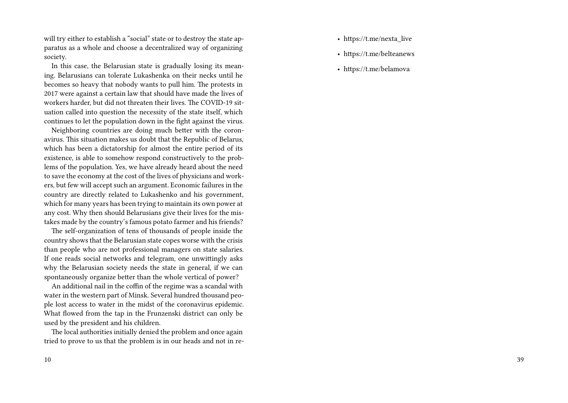will try either to establish a "social" state or to destroy the state apparatus as a whole and choose a decentralized way of organizing society.

In this case, the Belarusian state is gradually losing its meaning. Belarusians can tolerate Lukashenka on their necks until he becomes so heavy that nobody wants to pull him. The protests in 2017 were against a certain law that should have made the lives of workers harder, but did not threaten their lives. The COVID-19 situation called into question the necessity of the state itself, which continues to let the population down in the fight against the virus.

Neighboring countries are doing much better with the coronavirus. This situation makes us doubt that the Republic of Belarus, which has been a dictatorship for almost the entire period of its existence, is able to somehow respond constructively to the problems of the population. Yes, we have already heard about the need to save the economy at the cost of the lives of physicians and workers, but few will accept such an argument. Economic failures in the country are directly related to Lukashenko and his government, which for many years has been trying to maintain its own power at any cost. Why then should Belarusians give their lives for the mistakes made by the country's famous potato farmer and his friends?

The self-organization of tens of thousands of people inside the country shows that the Belarusian state copes worse with the crisis than people who are not professional managers on state salaries. If one reads social networks and telegram, one unwittingly asks why the Belarusian society needs the state in general, if we can spontaneously organize better than the whole vertical of power?

An additional nail in the coffin of the regime was a scandal with water in the western part of Minsk. Several hundred thousand people lost access to water in the midst of the coronavirus epidemic. What flowed from the tap in the Frunzenski district can only be used by the president and his children.

The local authorities initially denied the problem and once again tried to prove to us that the problem is in our heads and not in re-

- https://t.me/nexta\_live
- https://t.me/belteanews
- https://t.me/belamova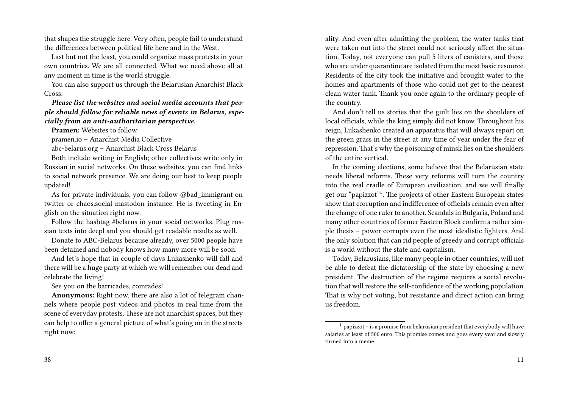that shapes the struggle here. Very often, people fail to understand the differences between political life here and in the West.

Last but not the least, you could organize mass protests in your own countries. We are all connected. What we need above all at any moment in time is the world struggle.

You can also support us through the Belarusian Anarchist Black Cross.

#### *Please list the websites and social media accounts that people should follow for reliable news of events in Belarus, especially from an anti-authoritarian perspective.*

**Pramen:** Websites to follow:

pramen.io – Anarchist Media Collective

abc-belarus.org – Anarchist Black Cross Belarus

Both include writing in English; other collectives write only in Russian in social networks. On these websites, you can find links to social network presence. We are doing our best to keep people updated!

As for private individuals, you can follow @bad\_immigrant on twitter or chaos.social mastodon instance. He is tweeting in English on the situation right now.

Follow the hashtag #belarus in your social networks. Plug russian texts into deepl and you should get readable results as well.

Donate to ABC-Belarus because already, over 5000 people have been detained and nobody knows how many more will be soon.

And let's hope that in couple of days Lukashenko will fall and there will be a huge party at which we will remember our dead and celebrate the living!

See you on the barricades, comrades!

**Anonymous:** Right now, there are also a lot of telegram channels where people post videos and photos in real time from the scene of everyday protests. These are not anarchist spaces, but they can help to offer a general picture of what's going on in the streets right now:

ality. And even after admitting the problem, the water tanks that were taken out into the street could not seriously affect the situation. Today, not everyone can pull 5 liters of canisters, and those who are under quarantine are isolated from the most basic resource. Residents of the city took the initiative and brought water to the homes and apartments of those who could not get to the nearest clean water tank. Thank you once again to the ordinary people of the country.

And don't tell us stories that the guilt lies on the shoulders of local officials, while the king simply did not know. Throughout his reign, Lukashenko created an apparatus that will always report on the green grass in the street at any time of year under the fear of repression. That's why the poisoning of minsk lies on the shoulders of the entire vertical.

In the coming elections, some believe that the Belarusian state needs liberal reforms. These very reforms will turn the country into the real cradle of European civilization, and we will finally get our "papizzot"<sup>1</sup>. The projects of other Eastern European states show that corruption and indifference of officials remain even after the change of one ruler to another. Scandals in Bulgaria, Poland and many other countries of former Eastern Block confirm a rather simple thesis – power corrupts even the most idealistic fighters. And the only solution that can rid people of greedy and corrupt officials is a world without the state and capitalism.

Today, Belarusians, like many people in other countries, will not be able to defeat the dictatorship of the state by choosing a new president. The destruction of the regime requires a social revolution that will restore the self-confidence of the working population. That is why not voting, but resistance and direct action can bring us freedom.

 $1$  papizzot – is a promise from belarusian president that everybody will have salaries at least of 500 euro. This promise comes and goes every year and slowly turned into a meme.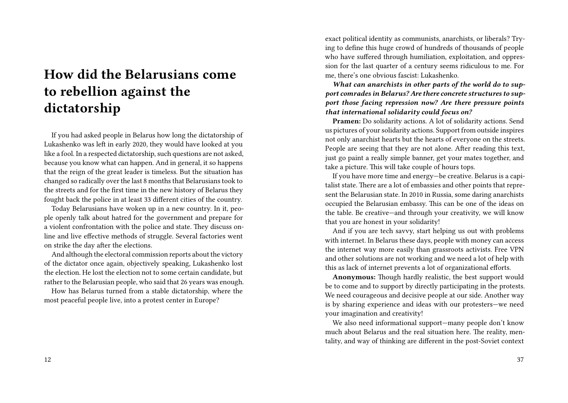## **How did the Belarusians come to rebellion against the dictatorship**

If you had asked people in Belarus how long the dictatorship of Lukashenko was left in early 2020, they would have looked at you like a fool. In a respected dictatorship, such questions are not asked, because you know what can happen. And in general, it so happens that the reign of the great leader is timeless. But the situation has changed so radically over the last 8 months that Belarusians took to the streets and for the first time in the new history of Belarus they fought back the police in at least 33 different cities of the country.

Today Belarusians have woken up in a new country. In it, people openly talk about hatred for the government and prepare for a violent confrontation with the police and state. They discuss online and live effective methods of struggle. Several factories went on strike the day after the elections.

And although the electoral commission reports about the victory of the dictator once again, objectively speaking, Lukashenko lost the election. He lost the election not to some certain candidate, but rather to the Belarusian people, who said that 26 years was enough.

How has Belarus turned from a stable dictatorship, where the most peaceful people live, into a protest center in Europe?

exact political identity as communists, anarchists, or liberals? Trying to define this huge crowd of hundreds of thousands of people who have suffered through humiliation, exploitation, and oppression for the last quarter of a century seems ridiculous to me. For me, there's one obvious fascist: Lukashenko.

*What can anarchists in other parts of the world do to support comrades in Belarus? Are there concrete structures to support those facing repression now? Are there pressure points that international solidarity could focus on?*

**Pramen:** Do solidarity actions. A lot of solidarity actions. Send us pictures of your solidarity actions. Support from outside inspires not only anarchist hearts but the hearts of everyone on the streets. People are seeing that they are not alone. After reading this text, just go paint a really simple banner, get your mates together, and take a picture. This will take couple of hours tops.

If you have more time and energy—be creative. Belarus is a capitalist state. There are a lot of embassies and other points that represent the Belarusian state. In 2010 in Russia, some daring anarchists occupied the Belarusian embassy. This can be one of the ideas on the table. Be creative—and through your creativity, we will know that you are honest in your solidarity!

And if you are tech savvy, start helping us out with problems with internet. In Belarus these days, people with money can access the internet way more easily than grassroots activists. Free VPN and other solutions are not working and we need a lot of help with this as lack of internet prevents a lot of organizational efforts.

**Anonymous:** Though hardly realistic, the best support would be to come and to support by directly participating in the protests. We need courageous and decisive people at our side. Another way is by sharing experience and ideas with our protesters—we need your imagination and creativity!

We also need informational support—many people don't know much about Belarus and the real situation here. The reality, mentality, and way of thinking are different in the post-Soviet context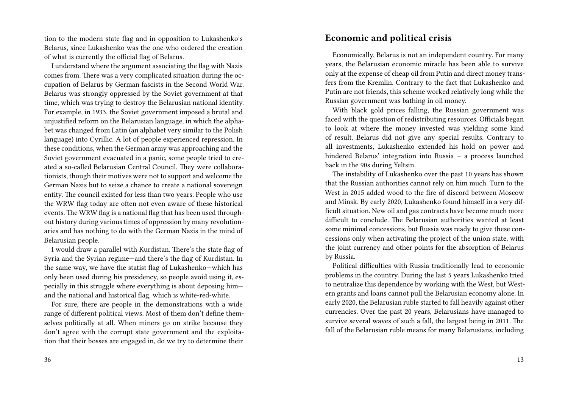tion to the modern state flag and in opposition to Lukashenko's Belarus, since Lukashenko was the one who ordered the creation of what is currently the official flag of Belarus.

I understand where the argument associating the flag with Nazis comes from. There was a very complicated situation during the occupation of Belarus by German fascists in the Second World War. Belarus was strongly oppressed by the Soviet government at that time, which was trying to destroy the Belarusian national identity. For example, in 1933, the Soviet government imposed a brutal and unjustified reform on the Belarusian language, in which the alphabet was changed from Latin (an alphabet very similar to the Polish language) into Cyrillic. A lot of people experienced repression. In these conditions, when the German army was approaching and the Soviet government evacuated in a panic, some people tried to created a so-called Belarusian Central Council. They were collaborationists, though their motives were not to support and welcome the German Nazis but to seize a chance to create a national sovereign entity. The council existed for less than two years. People who use the WRW flag today are often not even aware of these historical events. The WRW flag is a national flag that has been used throughout history during various times of oppression by many revolutionaries and has nothing to do with the German Nazis in the mind of Belarusian people.

I would draw a parallel with Kurdistan. There's the state flag of Syria and the Syrian regime—and there's the flag of Kurdistan. In the same way, we have the statist flag of Lukashenko—which has only been used during his presidency, so people avoid using it, especially in this struggle where everything is about deposing him and the national and historical flag, which is white-red-white.

For sure, there are people in the demonstrations with a wide range of different political views. Most of them don't define themselves politically at all. When miners go on strike because they don't agree with the corrupt state government and the exploitation that their bosses are engaged in, do we try to determine their

#### **Economic and political crisis**

Economically, Belarus is not an independent country. For many years, the Belarusian economic miracle has been able to survive only at the expense of cheap oil from Putin and direct money transfers from the Kremlin. Contrary to the fact that Lukashenko and Putin are not friends, this scheme worked relatively long while the Russian government was bathing in oil money.

With black gold prices falling, the Russian government was faced with the question of redistributing resources. Officials began to look at where the money invested was yielding some kind of result. Belarus did not give any special results. Contrary to all investments, Lukashenko extended his hold on power and hindered Belarus' integration into Russia – a process launched back in the 90s during Yeltsin.

The instability of Lukashenko over the past 10 years has shown that the Russian authorities cannot rely on him much. Turn to the West in 2015 added wood to the fire of discord between Moscow and Minsk. By early 2020, Lukashenko found himself in a very difficult situation. New oil and gas contracts have become much more difficult to conclude. The Belarusian authorities wanted at least some minimal concessions, but Russia was ready to give these concessions only when activating the project of the union state, with the joint currency and other points for the absorption of Belarus by Russia.

Political difficulties with Russia traditionally lead to economic problems in the country. During the last 5 years Lukashenko tried to neutralize this dependence by working with the West, but Western grants and loans cannot pull the Belarusian economy alone. In early 2020, the Belarusian ruble started to fall heavily against other currencies. Over the past 20 years, Belarusians have managed to survive several waves of such a fall, the largest being in 2011. The fall of the Belarusian ruble means for many Belarusians, including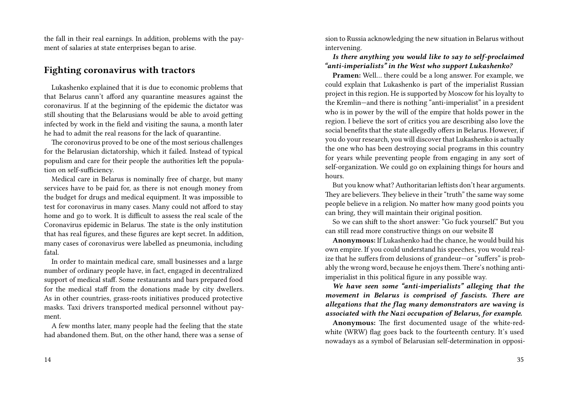the fall in their real earnings. In addition, problems with the payment of salaries at state enterprises began to arise.

### **Fighting coronavirus with tractors**

Lukashenko explained that it is due to economic problems that that Belarus cann't afford any quarantine measures against the coronavirus. If at the beginning of the epidemic the dictator was still shouting that the Belarusians would be able to avoid getting infected by work in the field and visiting the sauna, a month later he had to admit the real reasons for the lack of quarantine.

The coronovirus proved to be one of the most serious challenges for the Belarusian dictatorship, which it failed. Instead of typical populism and care for their people the authorities left the population on self-sufficiency.

Medical care in Belarus is nominally free of charge, but many services have to be paid for, as there is not enough money from the budget for drugs and medical equipment. It was impossible to test for coronavirus in many cases. Many could not afford to stay home and go to work. It is difficult to assess the real scale of the Coronavirus epidemic in Belarus. The state is the only institution that has real figures, and these figures are kept secret. In addition, many cases of coronavirus were labelled as pneumonia, including fatal.

In order to maintain medical care, small businesses and a large number of ordinary people have, in fact, engaged in decentralized support of medical staff. Some restaurants and bars prepared food for the medical staff from the donations made by city dwellers. As in other countries, grass-roots initiatives produced protective masks. Taxi drivers transported medical personnel without payment.

A few months later, many people had the feeling that the state had abandoned them. But, on the other hand, there was a sense of sion to Russia acknowledging the new situation in Belarus without intervening.

#### *Is there anything you would like to say to self-proclaimed "anti-imperialists" in the West who support Lukashenko?*

**Pramen:** Well… there could be a long answer. For example, we could explain that Lukashenko is part of the imperialist Russian project in this region. He is supported by Moscow for his loyalty to the Kremlin—and there is nothing "anti-imperialist" in a president who is in power by the will of the empire that holds power in the region. I believe the sort of critics you are describing also love the social benefits that the state allegedly offers in Belarus. However, if you do your research, you will discover that Lukashenko is actually the one who has been destroying social programs in this country for years while preventing people from engaging in any sort of self-organization. We could go on explaining things for hours and hours.

But you know what? Authoritarian leftists don't hear arguments. They are believers. They believe in their "truth" the same way some people believe in a religion. No matter how many good points you can bring, they will maintain their original position.

So we can shift to the short answer: "Go fuck yourself." But you can still read more constructive things on our website

**Anonymous:** If Lukashenko had the chance, he would build his own empire. If you could understand his speeches, you would realize that he suffers from delusions of grandeur—or "suffers" is probably the wrong word, because he enjoys them. There's nothing antiimperialist in this political figure in any possible way.

*We have seen some "anti-imperialists" alleging that the movement in Belarus is comprised of fascists. There are allegations that the flag many demonstrators are waving is associated with the Nazi occupation of Belarus, for example.*

**Anonymous:** The first documented usage of the white-redwhite (WRW) flag goes back to the fourteenth century. It's used nowadays as a symbol of Belarusian self-determination in opposi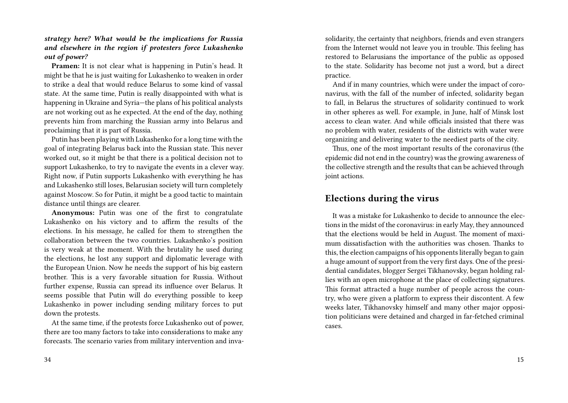*strategy here? What would be the implications for Russia and elsewhere in the region if protesters force Lukashenko out of power?*

**Pramen:** It is not clear what is happening in Putin's head. It might be that he is just waiting for Lukashenko to weaken in order to strike a deal that would reduce Belarus to some kind of vassal state. At the same time, Putin is really disappointed with what is happening in Ukraine and Syria—the plans of his political analysts are not working out as he expected. At the end of the day, nothing prevents him from marching the Russian army into Belarus and proclaiming that it is part of Russia.

Putin has been playing with Lukashenko for a long time with the goal of integrating Belarus back into the Russian state. This never worked out, so it might be that there is a political decision not to support Lukashenko, to try to navigate the events in a clever way. Right now, if Putin supports Lukashenko with everything he has and Lukashenko still loses, Belarusian society will turn completely against Moscow. So for Putin, it might be a good tactic to maintain distance until things are clearer.

**Anonymous:** Putin was one of the first to congratulate Lukashenko on his victory and to affirm the results of the elections. In his message, he called for them to strengthen the collaboration between the two countries. Lukashenko's position is very weak at the moment. With the brutality he used during the elections, he lost any support and diplomatic leverage with the European Union. Now he needs the support of his big eastern brother. This is a very favorable situation for Russia. Without further expense, Russia can spread its influence over Belarus. It seems possible that Putin will do everything possible to keep Lukashenko in power including sending military forces to put down the protests.

At the same time, if the protests force Lukashenko out of power, there are too many factors to take into considerations to make any forecasts. The scenario varies from military intervention and invasolidarity, the certainty that neighbors, friends and even strangers from the Internet would not leave you in trouble. This feeling has restored to Belarusians the importance of the public as opposed to the state. Solidarity has become not just a word, but a direct practice.

And if in many countries, which were under the impact of coronavirus, with the fall of the number of infected, solidarity began to fall, in Belarus the structures of solidarity continued to work in other spheres as well. For example, in June, half of Minsk lost access to clean water. And while officials insisted that there was no problem with water, residents of the districts with water were organizing and delivering water to the neediest parts of the city.

Thus, one of the most important results of the coronavirus (the epidemic did not end in the country) was the growing awareness of the collective strength and the results that can be achieved through joint actions.

#### **Elections during the virus**

It was a mistake for Lukashenko to decide to announce the elections in the midst of the coronavirus: in early May, they announced that the elections would be held in August. The moment of maximum dissatisfaction with the authorities was chosen. Thanks to this, the election campaigns of his opponents literally began to gain a huge amount of support from the very first days. One of the presidential candidates, blogger Sergei Tikhanovsky, began holding rallies with an open microphone at the place of collecting signatures. This format attracted a huge number of people across the country, who were given a platform to express their discontent. A few weeks later, Tikhanovsky himself and many other major opposition politicians were detained and charged in far-fetched criminal cases.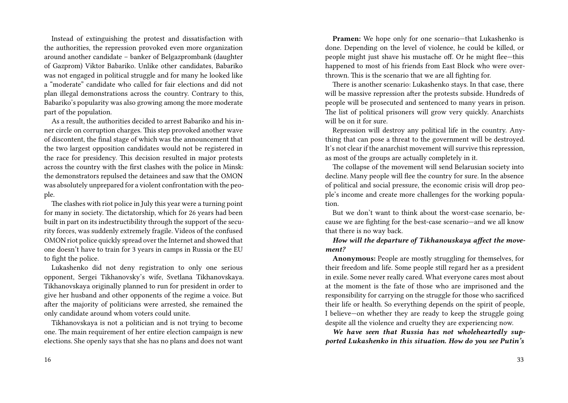Instead of extinguishing the protest and dissatisfaction with the authorities, the repression provoked even more organization around another candidate – banker of Belgazprombank (daughter of Gazprom) Viktor Babariko. Unlike other candidates, Babariko was not engaged in political struggle and for many he looked like a "moderate" candidate who called for fair elections and did not plan illegal demonstrations across the country. Contrary to this, Babariko's popularity was also growing among the more moderate part of the population.

As a result, the authorities decided to arrest Babariko and his inner circle on corruption charges. This step provoked another wave of discontent, the final stage of which was the announcement that the two largest opposition candidates would not be registered in the race for presidency. This decision resulted in major protests across the country with the first clashes with the police in Minsk: the demonstrators repulsed the detainees and saw that the OMON was absolutely unprepared for a violent confrontation with the people.

The clashes with riot police in July this year were a turning point for many in society. The dictatorship, which for 26 years had been built in part on its indestructibility through the support of the security forces, was suddenly extremely fragile. Videos of the confused OMON riot police quickly spread over the Internet and showed that one doesn't have to train for 3 years in camps in Russia or the EU to fight the police.

Lukashenko did not deny registration to only one serious opponent, Sergei Tikhanovsky's wife, Svetlana Tikhanovskaya. Tikhanovskaya originally planned to run for president in order to give her husband and other opponents of the regime a voice. But after the majority of politicians were arrested, she remained the only candidate around whom voters could unite.

Tikhanovskaya is not a politician and is not trying to become one. The main requirement of her entire election campaign is new elections. She openly says that she has no plans and does not want

**Pramen:** We hope only for one scenario—that Lukashenko is done. Depending on the level of violence, he could be killed, or people might just shave his mustache off. Or he might flee—this happened to most of his friends from East Block who were overthrown. This is the scenario that we are all fighting for.

There is another scenario: Lukashenko stays. In that case, there will be massive repression after the protests subside. Hundreds of people will be prosecuted and sentenced to many years in prison. The list of political prisoners will grow very quickly. Anarchists will be on it for sure.

Repression will destroy any political life in the country. Anything that can pose a threat to the government will be destroyed. It's not clear if the anarchist movement will survive this repression, as most of the groups are actually completely in it.

The collapse of the movement will send Belarusian society into decline. Many people will flee the country for sure. In the absence of political and social pressure, the economic crisis will drop people's income and create more challenges for the working population.

But we don't want to think about the worst-case scenario, because we are fighting for the best-case scenario—and we all know that there is no way back.

#### *How will the departure of Tikhanouskaya affect the movement?*

**Anonymous:** People are mostly struggling for themselves, for their freedom and life. Some people still regard her as a president in exile. Some never really cared. What everyone cares most about at the moment is the fate of those who are imprisoned and the responsibility for carrying on the struggle for those who sacrificed their life or health. So everything depends on the spirit of people, I believe—on whether they are ready to keep the struggle going despite all the violence and cruelty they are experiencing now.

*We have seen that Russia has not wholeheartedly supported Lukashenko in this situation. How do you see Putin's*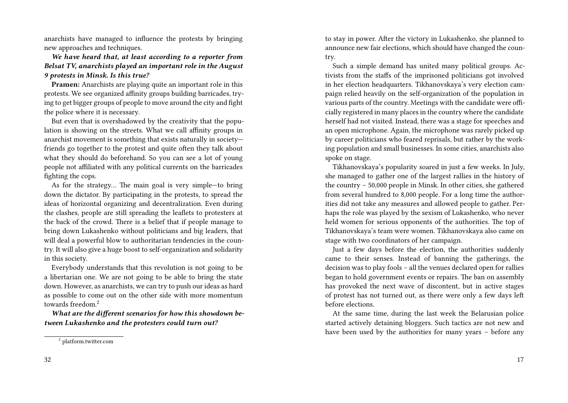anarchists have managed to influence the protests by bringing new approaches and techniques.

#### *We have heard that, at least according to a reporter from Belsat TV, anarchists played an important role in the August 9 protests in Minsk. Is this true?*

**Pramen:** Anarchists are playing quite an important role in this protests. We see organized affinity groups building barricades, trying to get bigger groups of people to move around the city and fight the police where it is necessary.

But even that is overshadowed by the creativity that the population is showing on the streets. What we call affinity groups in anarchist movement is something that exists naturally in society friends go together to the protest and quite often they talk about what they should do beforehand. So you can see a lot of young people not affiliated with any political currents on the barricades fighting the cops.

As for the strategy… The main goal is very simple—to bring down the dictator. By participating in the protests, to spread the ideas of horizontal organizing and decentralization. Even during the clashes, people are still spreading the leaflets to protesters at the back of the crowd. There is a belief that if people manage to bring down Lukashenko without politicians and big leaders, that will deal a powerful blow to authoritarian tendencies in the country. It will also give a huge boost to self-organization and solidarity in this society.

Everybody understands that this revolution is not going to be a libertarian one. We are not going to be able to bring the state down. However, as anarchists, we can try to push our ideas as hard as possible to come out on the other side with more momentum towards freedom<sup>2</sup>

*What are the different scenarios for how this showdown between Lukashenko and the protesters could turn out?*

to stay in power. After the victory in Lukashenko, she planned to announce new fair elections, which should have changed the country.

Such a simple demand has united many political groups. Activists from the staffs of the imprisoned politicians got involved in her election headquarters. Tikhanovskaya's very election campaign relied heavily on the self-organization of the population in various parts of the country. Meetings with the candidate were officially registered in many places in the country where the candidate herself had not visited. Instead, there was a stage for speeches and an open microphone. Again, the microphone was rarely picked up by career politicians who feared reprisals, but rather by the working population and small businesses. In some cities, anarchists also spoke on stage.

Tikhanovskaya's popularity soared in just a few weeks. In July, she managed to gather one of the largest rallies in the history of the country – 50,000 people in Minsk. In other cities, she gathered from several hundred to 8,000 people. For a long time the authorities did not take any measures and allowed people to gather. Perhaps the role was played by the sexism of Lukashenko, who never held women for serious opponents of the authorities. The top of Tikhanovskaya's team were women. Tikhanovskaya also came on stage with two coordinators of her campaign.

Just a few days before the election, the authorities suddenly came to their senses. Instead of banning the gatherings, the decision was to play fools – all the venues declared open for rallies began to hold government events or repairs. The ban on assembly has provoked the next wave of discontent, but in active stages of protest has not turned out, as there were only a few days left before elections.

At the same time, during the last week the Belarusian police started actively detaining bloggers. Such tactics are not new and have been used by the authorities for many years – before any

<sup>2</sup> platform.twitter.com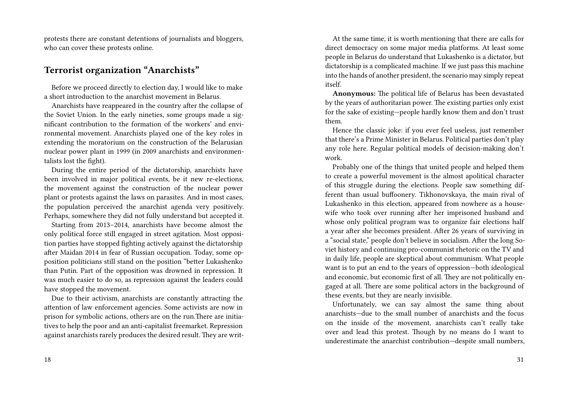protests there are constant detentions of journalists and bloggers, who can cover these protests online.

#### **Terrorist organization "Anarchists"**

Before we proceed directly to election day, I would like to make a short introduction to the anarchist movement in Belarus.

Anarchists have reappeared in the country after the collapse of the Soviet Union. In the early nineties, some groups made a significant contribution to the formation of the workers' and environmental movement. Anarchists played one of the key roles in extending the moratorium on the construction of the Belarusian nuclear power plant in 1999 (in 2009 anarchists and environmentalists lost the fight).

During the entire period of the dictatorship, anarchists have been involved in major political events, be it new re-elections, the movement against the construction of the nuclear power plant or protests against the laws on parasites. And in most cases, the population perceived the anarchist agenda very positively. Perhaps, somewhere they did not fully understand but accepted it.

Starting from 2013–2014, anarchists have become almost the only political force still engaged in street agitation. Most opposition parties have stopped fighting actively against the dictatorship after Maidan 2014 in fear of Russian occupation. Today, some opposition politicians still stand on the position "better Lukashenko than Putin. Part of the opposition was drowned in repression. It was much easier to do so, as repression against the leaders could have stopped the movement.

Due to their activism, anarchists are constantly attracting the attention of law enforcement agencies. Some activists are now in prison for symbolic actions, others are on the run.There are initiatives to help the poor and an anti-capitalist freemarket. Repression against anarchists rarely produces the desired result. They are writ-

At the same time, it is worth mentioning that there are calls for direct democracy on some major media platforms. At least some people in Belarus do understand that Lukashenko is a dictator, but dictatorship is a complicated machine. If we just pass this machine into the hands of another president, the scenario may simply repeat itself.

**Anonymous:** The political life of Belarus has been devastated by the years of authoritarian power. The existing parties only exist for the sake of existing—people hardly know them and don't trust them.

Hence the classic joke: if you ever feel useless, just remember that there's a Prime Minister in Belarus. Political parties don't play any role here. Regular political models of decision-making don't work.

Probably one of the things that united people and helped them to create a powerful movement is the almost apolitical character of this struggle during the elections. People saw something different than usual buffoonery. Tikhonovskaya, the main rival of Lukashenko in this election, appeared from nowhere as a housewife who took over running after her imprisoned husband and whose only political program was to organize fair elections half a year after she becomes president. After 26 years of surviving in a "social state," people don't believe in socialism. After the long Soviet history and continuing pro-communist rhetoric on the TV and in daily life, people are skeptical about communism. What people want is to put an end to the years of oppression—both ideological and economic, but economic first of all. They are not politically engaged at all. There are some political actors in the background of these events, but they are nearly invisible.

Unfortunately, we can say almost the same thing about anarchists—due to the small number of anarchists and the focus on the inside of the movement, anarchists can't really take over and lead this protest. Though by no means do I want to underestimate the anarchist contribution—despite small numbers,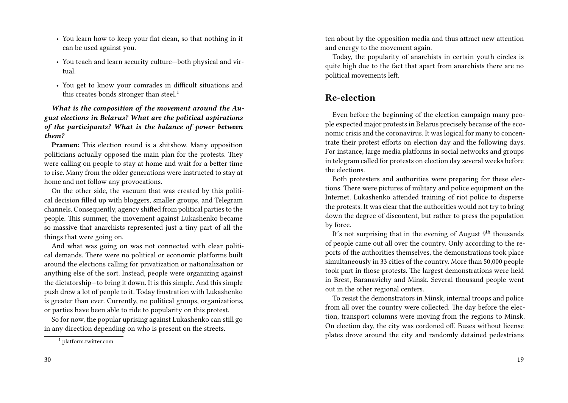- You learn how to keep your flat clean, so that nothing in it can be used against you.
- You teach and learn security culture—both physical and virtual.
- You get to know your comrades in difficult situations and this creates bonds stronger than steel.<sup>1</sup>

*What is the composition of the movement around the August elections in Belarus? What are the political aspirations of the participants? What is the balance of power between them?*

**Pramen:** This election round is a shitshow. Many opposition politicians actually opposed the main plan for the protests. They were calling on people to stay at home and wait for a better time to rise. Many from the older generations were instructed to stay at home and not follow any provocations.

On the other side, the vacuum that was created by this political decision filled up with bloggers, smaller groups, and Telegram channels. Consequently, agency shifted from political parties to the people. This summer, the movement against Lukashenko became so massive that anarchists represented just a tiny part of all the things that were going on.

And what was going on was not connected with clear political demands. There were no political or economic platforms built around the elections calling for privatization or nationalization or anything else of the sort. Instead, people were organizing against the dictatorship—to bring it down. It is this simple. And this simple push drew a lot of people to it. Today frustration with Lukashenko is greater than ever. Currently, no political groups, organizations, or parties have been able to ride to popularity on this protest.

So for now, the popular uprising against Lukashenko can still go in any direction depending on who is present on the streets.

ten about by the opposition media and thus attract new attention and energy to the movement again.

Today, the popularity of anarchists in certain youth circles is quite high due to the fact that apart from anarchists there are no political movements left.

### **Re-election**

Even before the beginning of the election campaign many people expected major protests in Belarus precisely because of the economic crisis and the coronavirus. It was logical for many to concentrate their protest efforts on election day and the following days. For instance, large media platforms in social networks and groups in telegram called for protests on election day several weeks before the elections.

Both protesters and authorities were preparing for these elections. There were pictures of military and police equipment on the Internet. Lukashenko attended training of riot police to disperse the protests. It was clear that the authorities would not try to bring down the degree of discontent, but rather to press the population by force.

It's not surprising that in the evening of August  $9<sup>th</sup>$  thousands of people came out all over the country. Only according to the reports of the authorities themselves, the demonstrations took place simultaneously in 33 cities of the country. More than 50,000 people took part in those protests. The largest demonstrations were held in Brest, Baranavichy and Minsk. Several thousand people went out in the other regional centers.

To resist the demonstrators in Minsk, internal troops and police from all over the country were collected. The day before the election, transport columns were moving from the regions to Minsk. On election day, the city was cordoned off. Buses without license plates drove around the city and randomly detained pedestrians

<sup>1</sup> platform.twitter.com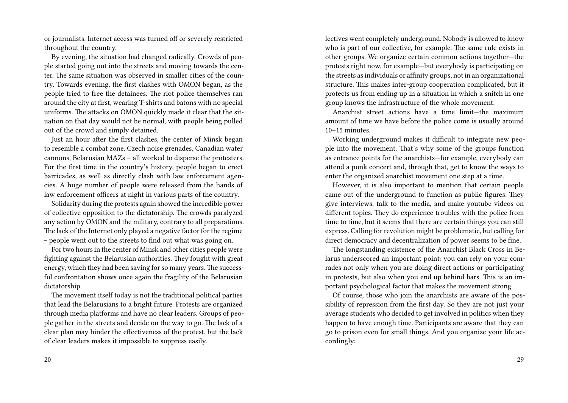or journalists. Internet access was turned off or severely restricted throughout the country.

By evening, the situation had changed radically. Crowds of people started going out into the streets and moving towards the center. The same situation was observed in smaller cities of the country. Towards evening, the first clashes with OMON began, as the people tried to free the detainees. The riot police themselves ran around the city at first, wearing T-shirts and batons with no special uniforms. The attacks on OMON quickly made it clear that the situation on that day would not be normal, with people being pulled out of the crowd and simply detained.

Just an hour after the first clashes, the center of Minsk began to resemble a combat zone. Czech noise grenades, Canadian water cannons, Belarusian MAZs – all worked to disperse the protesters. For the first time in the country's history, people began to erect barricades, as well as directly clash with law enforcement agencies. A huge number of people were released from the hands of law enforcement officers at night in various parts of the country.

Solidarity during the protests again showed the incredible power of collective opposition to the dictatorship. The crowds paralyzed any action by OMON and the military, contrary to all preparations. The lack of the Internet only played a negative factor for the regime – people went out to the streets to find out what was going on.

For two hours in the center of Minsk and other cities people were fighting against the Belarusian authorities. They fought with great energy, which they had been saving for so many years. The successful confrontation shows once again the fragility of the Belarusian dictatorship.

The movement itself today is not the traditional political parties that lead the Belarusians to a bright future. Protests are organized through media platforms and have no clear leaders. Groups of people gather in the streets and decide on the way to go. The lack of a clear plan may hinder the effectiveness of the protest, but the lack of clear leaders makes it impossible to suppress easily.

lectives went completely underground. Nobody is allowed to know who is part of our collective, for example. The same rule exists in other groups. We organize certain common actions together—the protests right now, for example—but everybody is participating on the streets as individuals or affinity groups, not in an organizational structure. This makes inter-group cooperation complicated, but it protects us from ending up in a situation in which a snitch in one group knows the infrastructure of the whole movement.

Anarchist street actions have a time limit—the maximum amount of time we have before the police come is usually around 10–15 minutes.

Working underground makes it difficult to integrate new people into the movement. That's why some of the groups function as entrance points for the anarchists—for example, everybody can attend a punk concert and, through that, get to know the ways to enter the organized anarchist movement one step at a time.

However, it is also important to mention that certain people came out of the underground to function as public figures. They give interviews, talk to the media, and make youtube videos on different topics. They do experience troubles with the police from time to time, but it seems that there are certain things you can still express. Calling for revolution might be problematic, but calling for direct democracy and decentralization of power seems to be fine.

The longstanding existence of the Anarchist Black Cross in Belarus underscored an important point: you can rely on your comrades not only when you are doing direct actions or participating in protests, but also when you end up behind bars. This is an important psychological factor that makes the movement strong.

Of course, those who join the anarchists are aware of the possibility of repression from the first day. So they are not just your average students who decided to get involved in politics when they happen to have enough time. Participants are aware that they can go to prison even for small things. And you organize your life accordingly: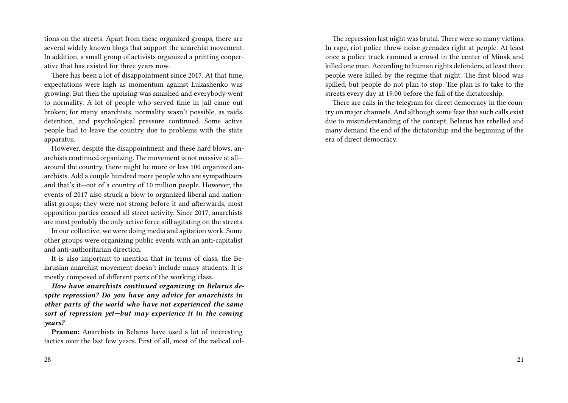tions on the streets. Apart from these organized groups, there are several widely known blogs that support the anarchist movement. In addition, a small group of activists organized a printing cooperative that has existed for three years now.

There has been a lot of disappointment since 2017. At that time, expectations were high as momentum against Lukashenko was growing. But then the uprising was smashed and everybody went to normality. A lot of people who served time in jail came out broken; for many anarchists, normality wasn't possible, as raids, detention, and psychological pressure continued. Some active people had to leave the country due to problems with the state apparatus.

However, despite the disappointment and these hard blows, anarchists continued organizing. The movement is not massive at all around the country, there might be more or less 100 organized anarchists. Add a couple hundred more people who are sympathizers and that's it—out of a country of 10 million people. However, the events of 2017 also struck a blow to organized liberal and nationalist groups; they were not strong before it and afterwards, most opposition parties ceased all street activity. Since 2017, anarchists are most probably the only active force still agitating on the streets.

In our collective, we were doing media and agitation work. Some other groups were organizing public events with an anti-capitalist and anti-authoritarian direction.

It is also important to mention that in terms of class, the Belarusian anarchist movement doesn't include many students. It is mostly composed of different parts of the working class.

*How have anarchists continued organizing in Belarus despite repression? Do you have any advice for anarchists in other parts of the world who have not experienced the same sort of repression yet—but may experience it in the coming years?*

**Pramen:** Anarchists in Belarus have used a lot of interesting tactics over the last few years. First of all, most of the radical col-

The repression last night was brutal. There were so many victims. In rage, riot police threw noise grenades right at people. At least once a police truck rammed a crowd in the center of Minsk and killed one man. According to human rights defenders, at least three people were killed by the regime that night. The first blood was spilled, but people do not plan to stop. The plan is to take to the streets every day at 19:00 before the fall of the dictatorship.

There are calls in the telegram for direct democracy in the country on major channels. And although some fear that such calls exist due to misunderstanding of the concept, Belarus has rebelled and many demand the end of the dictatorship and the beginning of the era of direct democracy.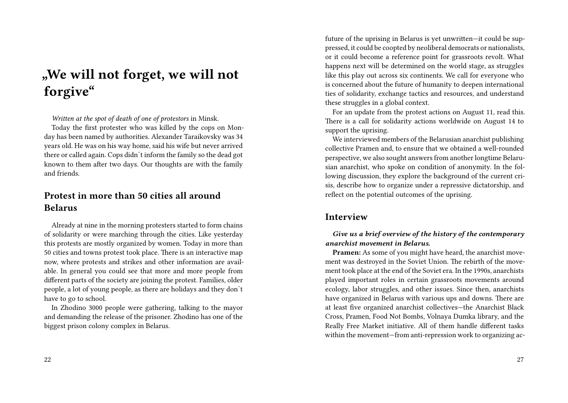# **"We will not forget, we will not forgive"**

*Written at the spot of death of one of protestors* in Minsk.

Today the first protester who was killed by the cops on Monday has been named by authorities. Alexander Taraikovsky was 34 years old. He was on his way home, said his wife but never arrived there or called again. Cops didn´t inform the family so the dead got known to them after two days. Our thoughts are with the family and friends.

### **Protest in more than 50 cities all around Belarus**

Already at nine in the morning protesters started to form chains of solidarity or were marching through the cities. Like yesterday this protests are mostly organized by women. Today in more than 50 cities and towns protest took place. There is an interactive map now, where protests and strikes and other information are available. In general you could see that more and more people from different parts of the society are joining the protest. Families, older people, a lot of young people, as there are holidays and they don´t have to go to school.

In Zhodino 3000 people were gathering, talking to the mayor and demanding the release of the prisoner. Zhodino has one of the biggest prison colony complex in Belarus.

future of the uprising in Belarus is yet unwritten—it could be suppressed, it could be coopted by neoliberal democrats or nationalists, or it could become a reference point for grassroots revolt. What happens next will be determined on the world stage, as struggles like this play out across six continents. We call for everyone who is concerned about the future of humanity to deepen international ties of solidarity, exchange tactics and resources, and understand these struggles in a global context.

For an update from the protest actions on August 11, read this. There is a call for solidarity actions worldwide on August 14 to support the uprising.

We interviewed members of the Belarusian anarchist publishing collective Pramen and, to ensure that we obtained a well-rounded perspective, we also sought answers from another longtime Belarusian anarchist, who spoke on condition of anonymity. In the following discussion, they explore the background of the current crisis, describe how to organize under a repressive dictatorship, and reflect on the potential outcomes of the uprising.

### **Interview**

#### *Give us a brief overview of the history of the contemporary anarchist movement in Belarus.*

**Pramen:** As some of you might have heard, the anarchist movement was destroyed in the Soviet Union. The rebirth of the movement took place at the end of the Soviet era. In the 1990s, anarchists played important roles in certain grassroots movements around ecology, labor struggles, and other issues. Since then, anarchists have organized in Belarus with various ups and downs. There are at least five organized anarchist collectives—the Anarchist Black Cross, Pramen, Food Not Bombs, Volnaya Dumka library, and the Really Free Market initiative. All of them handle different tasks within the movement—from anti-repression work to organizing ac-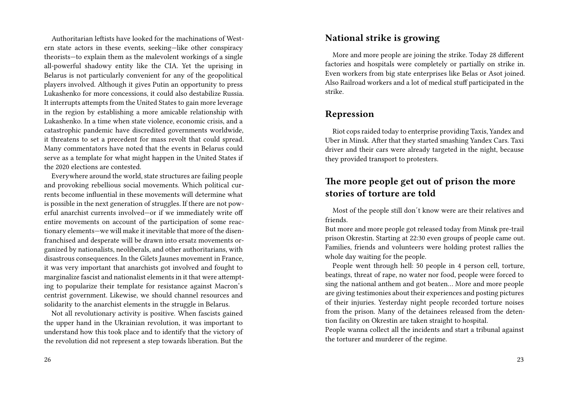Authoritarian leftists have looked for the machinations of Western state actors in these events, seeking—like other conspiracy theorists—to explain them as the malevolent workings of a single all-powerful shadowy entity like the CIA. Yet the uprising in Belarus is not particularly convenient for any of the geopolitical players involved. Although it gives Putin an opportunity to press Lukashenko for more concessions, it could also destabilize Russia. It interrupts attempts from the United States to gain more leverage in the region by establishing a more amicable relationship with Lukashenko. In a time when state violence, economic crisis, and a catastrophic pandemic have discredited governments worldwide, it threatens to set a precedent for mass revolt that could spread. Many commentators have noted that the events in Belarus could serve as a template for what might happen in the United States if the 2020 elections are contested.

Everywhere around the world, state structures are failing people and provoking rebellious social movements. Which political currents become influential in these movements will determine what is possible in the next generation of struggles. If there are not powerful anarchist currents involved—or if we immediately write off entire movements on account of the participation of some reactionary elements—we will make it inevitable that more of the disenfranchised and desperate will be drawn into ersatz movements organized by nationalists, neoliberals, and other authoritarians, with disastrous consequences. In the Gilets Jaunes movement in France, it was very important that anarchists got involved and fought to marginalize fascist and nationalist elements in it that were attempting to popularize their template for resistance against Macron's centrist government. Likewise, we should channel resources and solidarity to the anarchist elements in the struggle in Belarus.

Not all revolutionary activity is positive. When fascists gained the upper hand in the Ukrainian revolution, it was important to understand how this took place and to identify that the victory of the revolution did not represent a step towards liberation. But the

#### **National strike is growing**

More and more people are joining the strike. Today 28 different factories and hospitals were completely or partially on strike in. Even workers from big state enterprises like Belas or Asot joined. Also Railroad workers and a lot of medical stuff participated in the strike.

### **Repression**

Riot cops raided today to enterprise providing Taxis, Yandex and Uber in Minsk. After that they started smashing Yandex Cars. Taxi driver and their cars were already targeted in the night, because they provided transport to protesters.

### **The more people get out of prison the more stories of torture are told**

Most of the people still don´t know were are their relatives and friends.

But more and more people got released today from Minsk pre-trail prison Okrestin. Starting at 22:30 even groups of people came out. Families, friends and volunteers were holding protest rallies the whole day waiting for the people.

People went through hell: 50 people in 4 person cell, torture, beatings, threat of rape, no water nor food, people were forced to sing the national anthem and got beaten… More and more people are giving testimonies about their experiences and posting pictures of their injuries. Yesterday night people recorded torture noises from the prison. Many of the detainees released from the detention facility on Okrestin are taken straight to hospital.

People wanna collect all the incidents and start a tribunal against the torturer and murderer of the regime.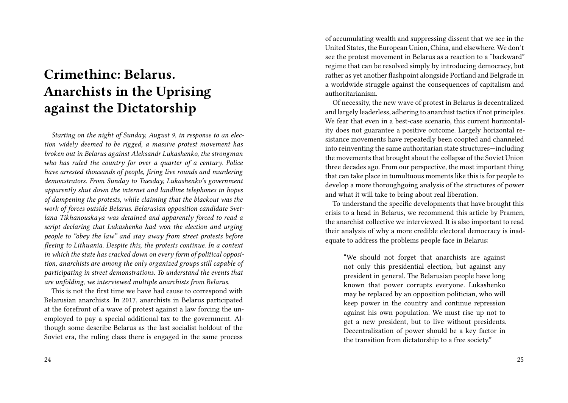# **Crimethinc: Belarus. Anarchists in the Uprising against the Dictatorship**

*Starting on the night of Sunday, August 9, in response to an election widely deemed to be rigged, a massive protest movement has broken out in Belarus against Aleksandr Lukashenko, the strongman who has ruled the country for over a quarter of a century. Police have arrested thousands of people, firing live rounds and murdering demonstrators. From Sunday to Tuesday, Lukashenko's government apparently shut down the internet and landline telephones in hopes of dampening the protests, while claiming that the blackout was the work of forces outside Belarus. Belarusian opposition candidate Svetlana Tikhanouskaya was detained and apparently forced to read a script declaring that Lukashenko had won the election and urging people to "obey the law" and stay away from street protests before fleeing to Lithuania. Despite this, the protests continue. In a context in which the state has cracked down on every form of political opposition, anarchists are among the only organized groups still capable of participating in street demonstrations. To understand the events that are unfolding, we interviewed multiple anarchists from Belarus.*

This is not the first time we have had cause to correspond with Belarusian anarchists. In 2017, anarchists in Belarus participated at the forefront of a wave of protest against a law forcing the unemployed to pay a special additional tax to the government. Although some describe Belarus as the last socialist holdout of the Soviet era, the ruling class there is engaged in the same process

of accumulating wealth and suppressing dissent that we see in the United States, the European Union, China, and elsewhere. We don't see the protest movement in Belarus as a reaction to a "backward" regime that can be resolved simply by introducing democracy, but rather as yet another flashpoint alongside Portland and Belgrade in a worldwide struggle against the consequences of capitalism and authoritarianism.

Of necessity, the new wave of protest in Belarus is decentralized and largely leaderless, adhering to anarchist tactics if not principles. We fear that even in a best-case scenario, this current horizontality does not guarantee a positive outcome. Largely horizontal resistance movements have repeatedly been coopted and channeled into reinventing the same authoritarian state structures—including the movements that brought about the collapse of the Soviet Union three decades ago. From our perspective, the most important thing that can take place in tumultuous moments like this is for people to develop a more thoroughgoing analysis of the structures of power and what it will take to bring about real liberation.

To understand the specific developments that have brought this crisis to a head in Belarus, we recommend this article by Pramen, the anarchist collective we interviewed. It is also important to read their analysis of why a more credible electoral democracy is inadequate to address the problems people face in Belarus:

"We should not forget that anarchists are against not only this presidential election, but against any president in general. The Belarusian people have long known that power corrupts everyone. Lukashenko may be replaced by an opposition politician, who will keep power in the country and continue repression against his own population. We must rise up not to get a new president, but to live without presidents. Decentralization of power should be a key factor in the transition from dictatorship to a free society."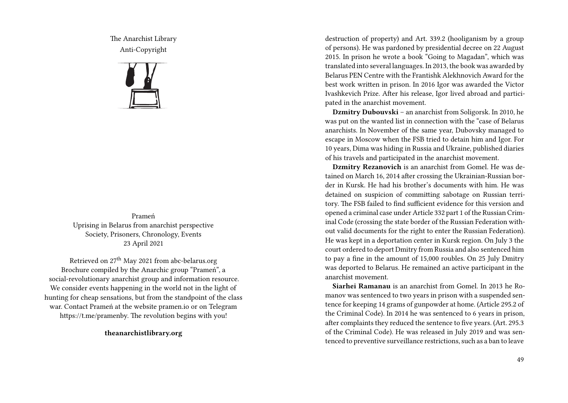The Anarchist Library Anti-Copyright



Prameń Uprising in Belarus from anarchist perspective Society, Prisoners, Chronology, Events 23 April 2021

Retrieved on 27th May 2021 from abc-belarus.org Brochure compiled by the Anarchic group "Prameń", a social-revolutionary anarchist group and information resource. We consider events happening in the world not in the light of hunting for cheap sensations, but from the standpoint of the class war. Contact Prameń at the website pramen.io or on Telegram https://t.me/pramenby. The revolution begins with you!

**theanarchistlibrary.org**

destruction of property) and Art. 339.2 (hooliganism by a group of persons). He was pardoned by presidential decree on 22 August 2015. In prison he wrote a book "Going to Magadan", which was translated into several languages. In 2013, the book was awarded by Belarus PEN Centre with the Frantishk Alekhnovich Award for the best work written in prison. In 2016 Igor was awarded the Victor Ivashkevich Prize. After his release, Igor lived abroad and participated in the anarchist movement.

**Dzmitry Dubouvski** – an anarchist from Soligorsk. In 2010, he was put on the wanted list in connection with the "case of Belarus anarchists. In November of the same year, Dubovsky managed to escape in Moscow when the FSB tried to detain him and Igor. For 10 years, Dima was hiding in Russia and Ukraine, published diaries of his travels and participated in the anarchist movement.

**Dzmitry Rezanovich** is an anarchist from Gomel. He was detained on March 16, 2014 after crossing the Ukrainian-Russian border in Kursk. He had his brother's documents with him. He was detained on suspicion of committing sabotage on Russian territory. The FSB failed to find sufficient evidence for this version and opened a criminal case under Article 332 part 1 of the Russian Criminal Code (crossing the state border of the Russian Federation without valid documents for the right to enter the Russian Federation). He was kept in a deportation center in Kursk region. On July 3 the court ordered to deport Dmitry from Russia and also sentenced him to pay a fine in the amount of 15,000 roubles. On 25 July Dmitry was deported to Belarus. He remained an active participant in the anarchist movement.

**Siarhei Ramanau** is an anarchist from Gomel. In 2013 he Romanov was sentenced to two years in prison with a suspended sentence for keeping 14 grams of gunpowder at home. (Article 295.2 of the Criminal Code). In 2014 he was sentenced to 6 years in prison, after complaints they reduced the sentence to five years. (Art. 295.3 of the Criminal Code). He was released in July 2019 and was sentenced to preventive surveillance restrictions, such as a ban to leave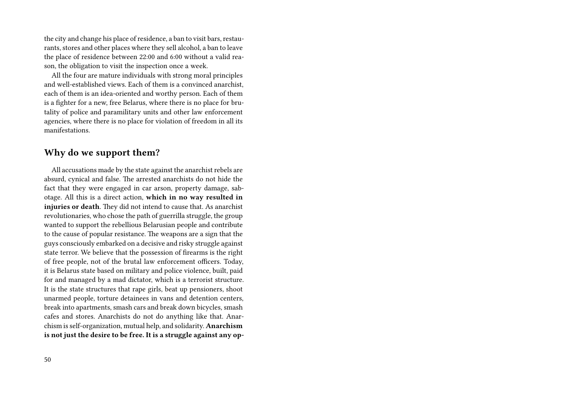the city and change his place of residence, a ban to visit bars, restaurants, stores and other places where they sell alcohol, a ban to leave the place of residence between 22:00 and 6:00 without a valid reason, the obligation to visit the inspection once a week.

All the four are mature individuals with strong moral principles and well-established views. Each of them is a convinced anarchist, each of them is an idea-oriented and worthy person. Each of them is a fighter for a new, free Belarus, where there is no place for brutality of police and paramilitary units and other law enforcement agencies, where there is no place for violation of freedom in all its manifestations.

### **Why do we support them?**

All accusations made by the state against the anarchist rebels are absurd, cynical and false. The arrested anarchists do not hide the fact that they were engaged in car arson, property damage, sabotage. All this is a direct action, **which in no way resulted in injuries or death**. They did not intend to cause that. As anarchist revolutionaries, who chose the path of guerrilla struggle, the group wanted to support the rebellious Belarusian people and contribute to the cause of popular resistance. The weapons are a sign that the guys consciously embarked on a decisive and risky struggle against state terror. We believe that the possession of firearms is the right of free people, not of the brutal law enforcement officers. Today, it is Belarus state based on military and police violence, built, paid for and managed by a mad dictator, which is a terrorist structure. It is the state structures that rape girls, beat up pensioners, shoot unarmed people, torture detainees in vans and detention centers, break into apartments, smash cars and break down bicycles, smash cafes and stores. Anarchists do not do anything like that. Anarchism is self-organization, mutual help, and solidarity. **Anarchism is not just the desire to be free. It is a struggle against any op-**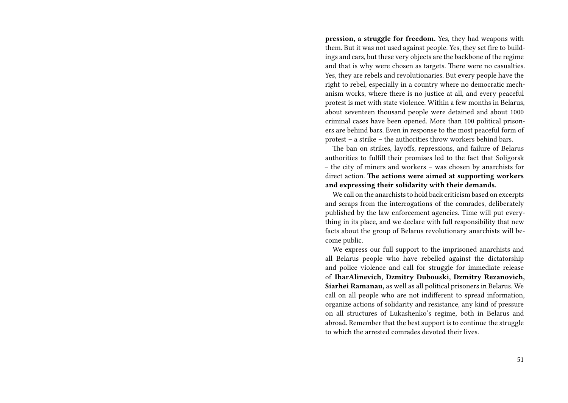**pression, a struggle for freedom.** Yes, they had weapons with them. But it was not used against people. Yes, they set fire to buildings and cars, but these very objects are the backbone of the regime and that is why were chosen as targets. There were no casualties. Yes, they are rebels and revolutionaries. But every people have the right to rebel, especially in a country where no democratic mechanism works, where there is no justice at all, and every peaceful protest is met with state violence. Within a few months in Belarus, about seventeen thousand people were detained and about 1000 criminal cases have been opened. More than 100 political prisoners are behind bars. Even in response to the most peaceful form of protest – a strike – the authorities throw workers behind bars.

The ban on strikes, layoffs, repressions, and failure of Belarus authorities to fulfill their promises led to the fact that Soligorsk – the city of miners and workers – was chosen by anarchists for direct action. **The actions were aimed at supporting workers and expressing their solidarity with their demands.**

We call on the anarchists to hold back criticism based on excerpts and scraps from the interrogations of the comrades, deliberately published by the law enforcement agencies. Time will put everything in its place, and we declare with full responsibility that new facts about the group of Belarus revolutionary anarchists will become public.

We express our full support to the imprisoned anarchists and all Belarus people who have rebelled against the dictatorship and police violence and call for struggle for immediate release of **IharAlinevich, Dzmitry Dubouski, Dzmitry Rezanovich, Siarhei Ramanau,** as well as all political prisoners in Belarus. We call on all people who are not indifferent to spread information, organize actions of solidarity and resistance, any kind of pressure on all structures of Lukashenko's regime, both in Belarus and abroad. Remember that the best support is to continue the struggle to which the arrested comrades devoted their lives.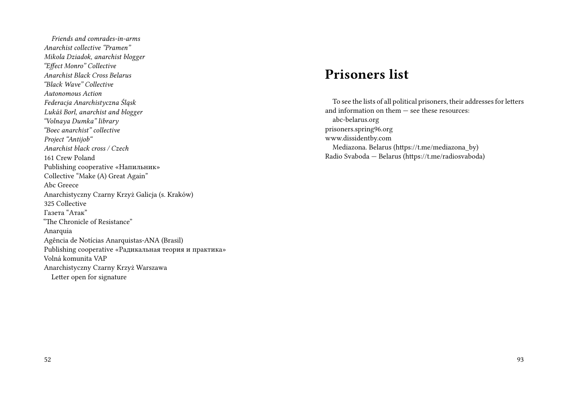*Friends and comrades-in-arms Anarchist collective "Pramen" Mikola Dziadok, anarchist blogger "Effect Monro" Collective Anarchist Black Cross Belarus "Black Wave" Collective Autonomous Action Federacja Anarchistyczna Śląsk Lukáš Borl, anarchist and blogger "Volnaya Dumka" library "Boec anarchist" collective Project "Antijob" Anarchist black cross / Czech* 161 Crew Poland Publishing cooperative «Напильник» Collective "Make (A) Great Again" Abc Greece Anarchistyczny Czarny Krzyż Galicja (s. Kraków) 325 Collective Газета "Атак" "The Chronicle of Resistance" Anarquia Agência de Notícias Anarquistas-ANA (Brasil) Publishing cooperative «Радикальная теория и практика» Volná komunita VAP Anarchistyczny Czarny Krzyż Warszawa Letter open for signature

## **Prisoners list**

To see the lists of all political prisoners, their addresses for letters and information on them — see these resources: abc-belarus.org prisoners.spring96.org www.dissidentby.com Mediazona. Belarus (https://t.me/mediazona\_by) Radio Svaboda — Belarus (https://t.me/radiosvaboda)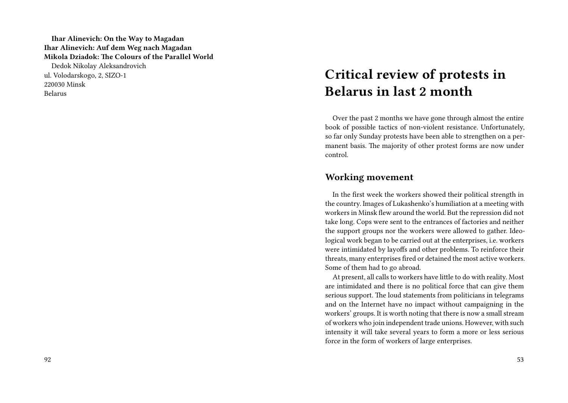**Ihar Alinevich: On the Way to Magadan Ihar Alinevich: Auf dem Weg nach Magadan Mikola Dziadok: The Colours of the Parallel World** Dedok Nikolay Aleksandrovich ul. Volodarskogo, 2, SIZO-1 220030 Minsk Belarus

## **Critical review of protests in Belarus in last 2 month**

Over the past 2 months we have gone through almost the entire book of possible tactics of non-violent resistance. Unfortunately, so far only Sunday protests have been able to strengthen on a permanent basis. The majority of other protest forms are now under control.

### **Working movement**

In the first week the workers showed their political strength in the country. Images of Lukashenko's humiliation at a meeting with workers in Minsk flew around the world. But the repression did not take long. Cops were sent to the entrances of factories and neither the support groups nor the workers were allowed to gather. Ideological work began to be carried out at the enterprises, i.e. workers were intimidated by layoffs and other problems. To reinforce their threats, many enterprises fired or detained the most active workers. Some of them had to go abroad.

At present, all calls to workers have little to do with reality. Most are intimidated and there is no political force that can give them serious support. The loud statements from politicians in telegrams and on the Internet have no impact without campaigning in the workers' groups. It is worth noting that there is now a small stream of workers who join independent trade unions. However, with such intensity it will take several years to form a more or less serious force in the form of workers of large enterprises.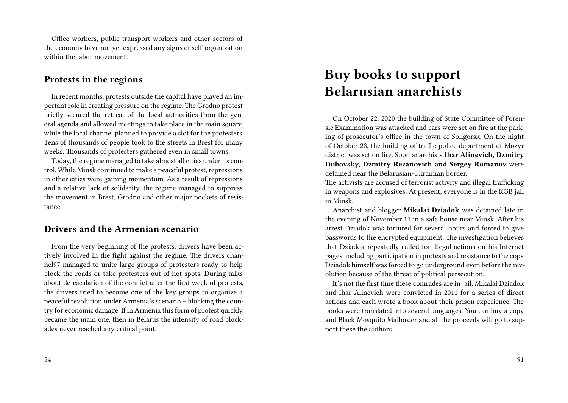Office workers, public transport workers and other sectors of the economy have not yet expressed any signs of self-organization within the labor movement.

### **Protests in the regions**

In recent months, protests outside the capital have played an important role in creating pressure on the regime. The Grodno protest briefly secured the retreat of the local authorities from the general agenda and allowed meetings to take place in the main square, while the local channel planned to provide a slot for the protesters. Tens of thousands of people took to the streets in Brest for many weeks. Thousands of protesters gathered even in small towns.

Today, the regime managed to take almost all cities under its control. While Minsk continued to make a peaceful protest, repressions in other cities were gaining momentum. As a result of repressions and a relative lack of solidarity, the regime managed to suppress the movement in Brest, Grodno and other major pockets of resistance.

### **Drivers and the Armenian scenario**

From the very beginning of the protests, drivers have been actively involved in the fight against the regime. The drivers channel97 managed to unite large groups of protesters ready to help block the roads or take protesters out of hot spots. During talks about de-escalation of the conflict after the first week of protests, the drivers tried to become one of the key groups to organize a peaceful revolution under Armenia's scenario – blocking the country for economic damage. If in Armenia this form of protest quickly became the main one, then in Belarus the intensity of road blockades never reached any critical point.

## **Buy books to support Belarusian anarchists**

On October 22, 2020 the building of State Committee of Forensic Examination was attacked and cars were set on fire at the parking of prosecutor's office in the town of Soligorsk. On the night of October 28, the building of traffic police department of Mozyr district was set on fire. Soon anarchists **Ihar Alinevich, Dzmitry Dubovsky, Dzmitry Rezanovich and Sergey Romanov** were detained near the Belarusian-Ukrainian border.

The activists are accused of terrorist activity and illegal trafficking in weapons and explosives. At present, everyone is in the KGB jail in Minsk.

Anarchist and blogger **Mikalai Dziadok** was detained late in the evening of November 11 in a safe house near Minsk. After his arrest Dziadok was tortured for several hours and forced to give passwords to the encrypted equipment. The investigation believes that Dziadok repeatedly called for illegal actions on his Internet pages, including participation in protests and resistance to the cops. Dziadok himself was forced to go underground even before the revolution because of the threat of political persecution.

It's not the first time these comrades are in jail. Mikalai Dziadok and Ihar Alinevich were convicted in 2011 for a series of direct actions and each wrote a book about their prison experience. The books were translated into several languages. You can buy a copy and Black Mosquito Mailorder and all the proceeds will go to support these the authors.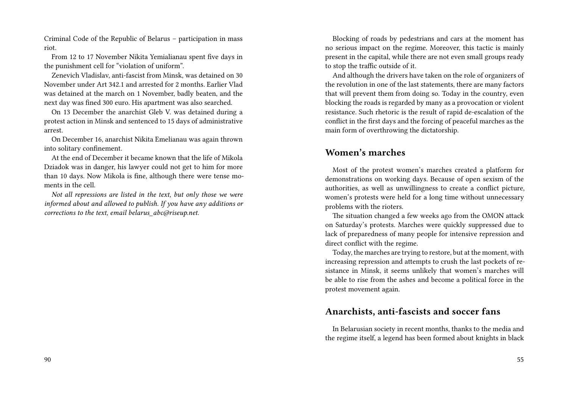Criminal Code of the Republic of Belarus – participation in mass riot.

From 12 to 17 November Nikita Yemialianau spent five days in the punishment cell for "violation of uniform".

Zenevich Vladislav, anti-fascist from Minsk, was detained on 30 November under Art 342.1 and arrested for 2 months. Earlier Vlad was detained at the march on 1 November, badly beaten, and the next day was fined 300 euro. His apartment was also searched.

On 13 December the anarchist Gleb V. was detained during a protest action in Minsk and sentenced to 15 days of administrative arrest.

On December 16, anarchist Nikita Emelianau was again thrown into solitary confinement.

At the end of December it became known that the life of Mikola Dziadok was in danger, his lawyer could not get to him for more than 10 days. Now Mikola is fine, although there were tense moments in the cell.

*Not all repressions are listed in the text, but only those we were informed about and allowed to publish. If you have any additions or corrections to the text, email belarus\_abc@riseup.net.*

Blocking of roads by pedestrians and cars at the moment has no serious impact on the regime. Moreover, this tactic is mainly present in the capital, while there are not even small groups ready to stop the traffic outside of it.

And although the drivers have taken on the role of organizers of the revolution in one of the last statements, there are many factors that will prevent them from doing so. Today in the country, even blocking the roads is regarded by many as a provocation or violent resistance. Such rhetoric is the result of rapid de-escalation of the conflict in the first days and the forcing of peaceful marches as the main form of overthrowing the dictatorship.

### **Women's marches**

Most of the protest women's marches created a platform for demonstrations on working days. Because of open sexism of the authorities, as well as unwillingness to create a conflict picture, women's protests were held for a long time without unnecessary problems with the rioters.

The situation changed a few weeks ago from the OMON attack on Saturday's protests. Marches were quickly suppressed due to lack of preparedness of many people for intensive repression and direct conflict with the regime.

Today, the marches are trying to restore, but at the moment, with increasing repression and attempts to crush the last pockets of resistance in Minsk, it seems unlikely that women's marches will be able to rise from the ashes and become a political force in the protest movement again.

### **Anarchists, anti-fascists and soccer fans**

In Belarusian society in recent months, thanks to the media and the regime itself, a legend has been formed about knights in black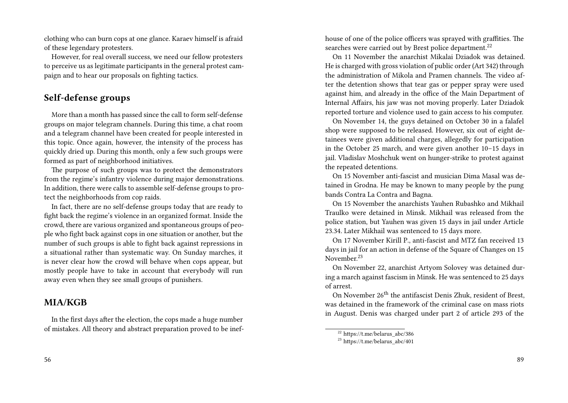clothing who can burn cops at one glance. Karaev himself is afraid of these legendary protesters.

However, for real overall success, we need our fellow protesters to perceive us as legitimate participants in the general protest campaign and to hear our proposals on fighting tactics.

### **Self-defense groups**

More than a month has passed since the call to form self-defense groups on major telegram channels. During this time, a chat room and a telegram channel have been created for people interested in this topic. Once again, however, the intensity of the process has quickly dried up. During this month, only a few such groups were formed as part of neighborhood initiatives.

The purpose of such groups was to protect the demonstrators from the regime's infantry violence during major demonstrations. In addition, there were calls to assemble self-defense groups to protect the neighborhoods from cop raids.

In fact, there are no self-defense groups today that are ready to fight back the regime's violence in an organized format. Inside the crowd, there are various organized and spontaneous groups of people who fight back against cops in one situation or another, but the number of such groups is able to fight back against repressions in a situational rather than systematic way. On Sunday marches, it is never clear how the crowd will behave when cops appear, but mostly people have to take in account that everybody will run away even when they see small groups of punishers.

#### **MIA/KGB**

In the first days after the election, the cops made a huge number of mistakes. All theory and abstract preparation proved to be inef-

56

house of one of the police officers was sprayed with graffities. The searches were carried out by Brest police department.<sup>22</sup>

On 11 November the anarchist Mikalai Dziadok was detained. He is charged with gross violation of public order (Art 342) through the administration of Mikola and Pramen channels. The video after the detention shows that tear gas or pepper spray were used against him, and already in the office of the Main Department of Internal Affairs, his jaw was not moving properly. Later Dziadok reported torture and violence used to gain access to his computer.

On November 14, the guys detained on October 30 in a falafel shop were supposed to be released. However, six out of eight detainees were given additional charges, allegedly for participation in the October 25 march, and were given another 10–15 days in jail. Vladislav Moshchuk went on hunger-strike to protest against the repeated detentions.

On 15 November anti-fascist and musician Dima Masal was detained in Grodna. He may be known to many people by the pung bands Contra La Contra and Bagna.

On 15 November the anarchists Yauhen Rubashko and Mikhail Traulko were detained in Minsk. Mikhail was released from the police station, but Yauhen was given 15 days in jail under Article 23.34. Later Mikhail was sentenced to 15 days more.

On 17 November Kirill P., anti-fascist and MTZ fan received 13 days in jail for an action in defense of the Square of Changes on 15 November.<sup>23</sup>

On November 22, anarchist Artyom Solovey was detained during a march against fascism in Minsk. He was sentenced to 25 days of arrest.

On November 26th the antifascist Denis Zhuk, resident of Brest, was detained in the framework of the criminal case on mass riots in August. Denis was charged under part 2 of article 293 of the

 $22$  https://t.me/belarus abc/386

 $^{23}$  https://t.me/belarus\_abc/401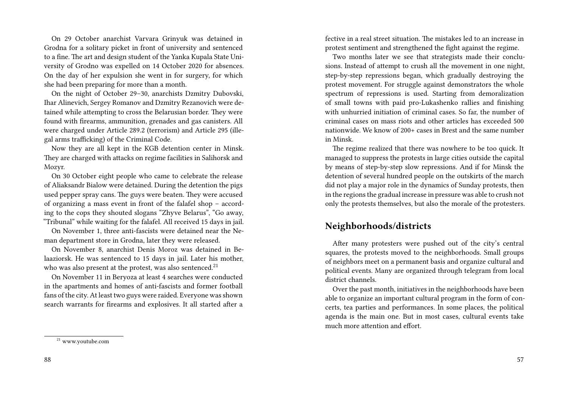On 29 October anarchist Varvara Grinyuk was detained in Grodna for a solitary picket in front of university and sentenced to a fine. The art and design student of the Yanka Kupala State University of Grodno was expelled on 14 October 2020 for absences. On the day of her expulsion she went in for surgery, for which she had been preparing for more than a month.

On the night of October 29–30, anarchists Dzmitry Dubovski, Ihar Alinevich, Sergey Romanov and Dzmitry Rezanovich were detained while attempting to cross the Belarusian border. They were found with firearms, ammunition, grenades and gas canisters. All were charged under Article 289.2 (terrorism) and Article 295 (illegal arms trafficking) of the Criminal Code.

Now they are all kept in the KGB detention center in Minsk. They are charged with attacks on regime facilities in Salihorsk and Mozyr.

On 30 October eight people who came to celebrate the release of Aliaksandr Bialow were detained. During the detention the pigs used pepper spray cans. The guys were beaten. They were accused of organizing a mass event in front of the falafel shop – according to the cops they shouted slogans "Zhyve Belarus", "Go away, "Tribunal" while waiting for the falafel. All received 15 days in jail.

On November 1, three anti-fascists were detained near the Neman department store in Grodna, later they were released.

On November 8, anarchist Denis Moroz was detained in Belaaziorsk. He was sentenced to 15 days in jail. Later his mother, who was also present at the protest, was also sentenced.<sup>21</sup>

On November 11 in Beryoza at least 4 searches were conducted in the apartments and homes of anti-fascists and former football fans of the city. At least two guys were raided. Everyone was shown search warrants for firearms and explosives. It all started after a

fective in a real street situation. The mistakes led to an increase in protest sentiment and strengthened the fight against the regime.

Two months later we see that strategists made their conclusions. Instead of attempt to crush all the movement in one night, step-by-step repressions began, which gradually destroying the protest movement. For struggle against demonstrators the whole spectrum of repressions is used. Starting from demoralization of small towns with paid pro-Lukashenko rallies and finishing with unhurried initiation of criminal cases. So far, the number of criminal cases on mass riots and other articles has exceeded 500 nationwide. We know of 200+ cases in Brest and the same number in Minsk.

The regime realized that there was nowhere to be too quick. It managed to suppress the protests in large cities outside the capital by means of step-by-step slow repressions. And if for Minsk the detention of several hundred people on the outskirts of the march did not play a major role in the dynamics of Sunday protests, then in the regions the gradual increase in pressure was able to crush not only the protests themselves, but also the morale of the protesters.

#### **Neighborhoods/districts**

After many protesters were pushed out of the city's central squares, the protests moved to the neighborhoods. Small groups of neighbors meet on a permanent basis and organize cultural and political events. Many are organized through telegram from local district channels.

Over the past month, initiatives in the neighborhoods have been able to organize an important cultural program in the form of concerts, tea parties and performances. In some places, the political agenda is the main one. But in most cases, cultural events take much more attention and effort.

<sup>21</sup> www.youtube.com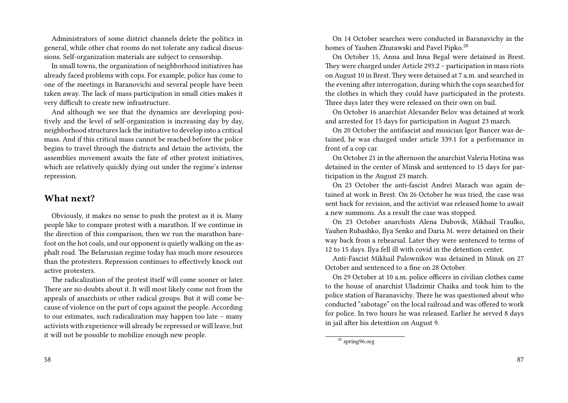Administrators of some district channels delete the politics in general, while other chat rooms do not tolerate any radical discussions. Self-organization materials are subject to censorship.

In small towns, the organization of neighborhood initiatives has already faced problems with cops. For example, police has come to one of the meetings in Baranovichi and several people have been taken away. The lack of mass participation in small cities makes it very difficult to create new infrastructure.

And although we see that the dynamics are developing positively and the level of self-organization is increasing day by day, neighborhood structures lack the initiative to develop into a critical mass. And if this critical mass cannot be reached before the police begins to travel through the districts and detain the activists, the assemblies movement awaits the fate of other protest initiatives, which are relatively quickly dying out under the regime's intense repression.

### **What next?**

Obviously, it makes no sense to push the protest as it is. Many people like to compare protest with a marathon. If we continue in the direction of this comparison, then we run the marathon barefoot on the hot coals, and our opponent is quietly walking on the asphalt road. The Belarusian regime today has much more resources than the protesters. Repression continues to effectively knock out active protesters.

The radicalization of the protest itself will come sooner or later. There are no doubts about it. It will most likely come not from the appeals of anarchists or other radical groups. But it will come because of violence on the part of cops against the people. According to our estimates, such radicalization may happen too late – many activists with experience will already be repressed or will leave, but it will not be possible to mobilize enough new people.

On 14 October searches were conducted in Baranavichy in the homes of Yauhen Zhurawski and Pavel Pipko.<sup>20</sup>

On October 15, Anna and Inna Begal were detained in Brest. They were charged under Article 293.2 – participation in mass riots on August 10 in Brest. They were detained at 7 a.m. and searched in the evening after interrogation, during which the cops searched for the clothes in which they could have participated in the protests. Three days later they were released on their own on bail.

On October 16 anarchist Alexander Belov was detained at work and arrested for 15 days for participation in August 23 march.

On 20 October the antifascist and musician Igor Bancer was detained, he was charged under article 339.1 for a performance in front of a cop car.

On October 21 in the afternoon the anarchist Valeria Hotina was detained in the center of Minsk and sentenced to 15 days for participation in the August 23 march.

On 23 October the anti-fascist Andrei Marach was again detained at work in Brest. On 26 October he was tried, the case was sent back for revision, and the activist was released home to await a new summons. As a result the case was stopped.

On 23 October anarchists Alena Dubovik, Mikhail Traulko, Yauhen Rubashko, Ilya Senko and Daria M. were detained on their way back from a rehearsal. Later they were sentenced to terms of 12 to 15 days. Ilya fell ill with covid in the detention center.

Anti-Fascist Mikhail Palownikov was detained in Minsk on 27 October and sentenced to a fine on 28 October.

On 29 October at 10 a.m. police officers in civilian clothes came to the house of anarchist Uladzimir Chaika and took him to the police station of Baranavichy. There he was questioned about who conducted "sabotage" on the local railroad and was offered to work for police. In two hours he was released. Earlier he served 8 days in jail after his detention on August 9.

 $20$  spring96.org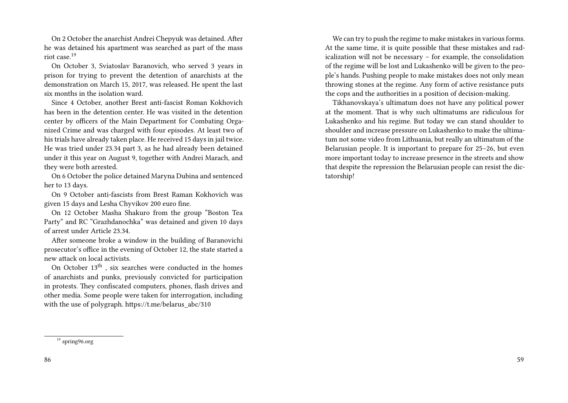On 2 October the anarchist Andrei Chepyuk was detained. After he was detained his apartment was searched as part of the mass riot case.<sup>19</sup>

On October 3, Sviatoslav Baranovich, who served 3 years in prison for trying to prevent the detention of anarchists at the demonstration on March 15, 2017, was released. He spent the last six months in the isolation ward.

Since 4 October, another Brest anti-fascist Roman Kokhovich has been in the detention center. He was visited in the detention center by officers of the Main Department for Combating Organized Crime and was charged with four episodes. At least two of his trials have already taken place. He received 15 days in jail twice. He was tried under 23.34 part 3, as he had already been detained under it this year on August 9, together with Andrei Marach, and they were both arrested.

On 6 October the police detained Maryna Dubina and sentenced her to 13 days.

On 9 October anti-fascists from Brest Raman Kokhovich was given 15 days and Lesha Chyvikov 200 euro fine.

On 12 October Masha Shakuro from the group "Boston Tea Party" and RC "Grazhdanochka" was detained and given 10 days of arrest under Article 23.34.

After someone broke a window in the building of Baranovichi prosecutor's office in the evening of October 12, the state started a new attack on local activists.

On October 13th , six searches were conducted in the homes of anarchists and punks, previously convicted for participation in protests. They confiscated computers, phones, flash drives and other media. Some people were taken for interrogation, including with the use of polygraph. https://t.me/belarus\_abc/310

We can try to push the regime to make mistakes in various forms. At the same time, it is quite possible that these mistakes and radicalization will not be necessary – for example, the consolidation of the regime will be lost and Lukashenko will be given to the people's hands. Pushing people to make mistakes does not only mean throwing stones at the regime. Any form of active resistance puts the cops and the authorities in a position of decision-making.

Tikhanovskaya's ultimatum does not have any political power at the moment. That is why such ultimatums are ridiculous for Lukashenko and his regime. But today we can stand shoulder to shoulder and increase pressure on Lukashenko to make the ultimatum not some video from Lithuania, but really an ultimatum of the Belarusian people. It is important to prepare for 25–26, but even more important today to increase presence in the streets and show that despite the repression the Belarusian people can resist the dictatorship!

<sup>19</sup> spring96.org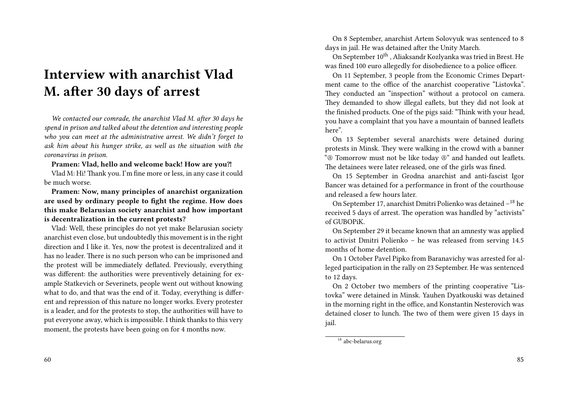## **Interview with anarchist Vlad M. after 30 days of arrest**

*We contacted our comrade, the anarchist Vlad M. after 30 days he spend in prison and talked about the detention and interesting people who you can meet at the administrative arrest. We didn't forget to ask him about his hunger strike, as well as the situation with the coronavirus in prison.*

Pramen: Vlad, hello and welcome back! How are you?!

Vlad M: Hi! Thank you. I'm fine more or less, in any case it could be much worse.

**Pramen: Now, many principles of anarchist organization are used by ordinary people to fight the regime. How does this make Belarusian society anarchist and how important is decentralization in the current protests?**

Vlad: Well, these principles do not yet make Belarusian society anarchist even close, but undoubtedly this movement is in the right direction and I like it. Yes, now the protest is decentralized and it has no leader. There is no such person who can be imprisoned and the protest will be immediately deflated. Previously, everything was different: the authorities were preventively detaining for example Statkevich or Severinets, people went out without knowing what to do, and that was the end of it. Today, everything is different and repression of this nature no longer works. Every protester is a leader, and for the protests to stop, the authorities will have to put everyone away, which is impossible. I think thanks to this very moment, the protests have been going on for 4 months now.

On 8 September, anarchist Artem Solovyuk was sentenced to 8 days in jail. He was detained after the Unity March.

On September 10<sup>th</sup>, Aliaksandr Kozlyanka was tried in Brest. He was fined 100 euro allegedly for disobedience to a police officer.

On 11 September, 3 people from the Economic Crimes Department came to the office of the anarchist cooperative "Listovka". They conducted an "inspection" without a protocol on camera. They demanded to show illegal eaflets, but they did not look at the finished products. One of the pigs said: "Think with your head, you have a complaint that you have a mountain of banned leaflets here".

On 13 September several anarchists were detained during protests in Minsk. They were walking in the crowd with a banner "Ⓐ Tomorrow must not be like today Ⓐ" and handed out leaflets. The detainees were later released, one of the girls was fined.

On 15 September in Grodna anarchist and anti-fascist Igor Bancer was detained for a performance in front of the courthouse and released a few hours later.

On September 17, anarchist Dmitri Polienko was detained –<sup>18</sup> he received 5 days of arrest. The operation was handled by "activists" of GUBOPiK.

On September 29 it became known that an amnesty was applied to activist Dmitri Polienko – he was released from serving 14.5 months of home detention.

On 1 October Pavel Pipko from Baranavichy was arrested for alleged participation in the rally on 23 September. He was sentenced to 12 days.

On 2 October two members of the printing cooperative "Listovka" were detained in Minsk. Yauhen Dyatkouski was detained in the morning right in the office, and Konstantin Nesterovich was detained closer to lunch. The two of them were given 15 days in jail.

 $\frac{18}{18}$  abc-belarus.org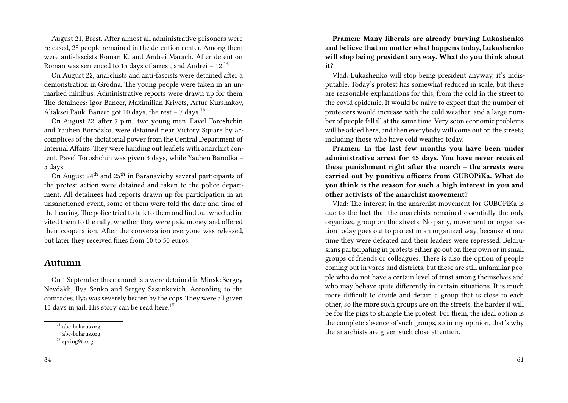August 21, Brest. After almost all administrative prisoners were released, 28 people remained in the detention center. Among them were anti-fascists Roman K. and Andrei Marach. After detention Roman was sentenced to 15 days of arrest, and Andrei – 12.<sup>15</sup>

On August 22, anarchists and anti-fascists were detained after a demonstration in Grodna. The young people were taken in an unmarked minibus. Administrative reports were drawn up for them. The detainees: Igor Bancer, Maximilian Krivets, Artur Kurshakov, Aliaksei Pauk. Banzer got 10 days, the rest – 7 days.<sup>16</sup>

On August 22, after 7 p.m., two young men, Pavel Toroshchin and Yauhen Borodzko, were detained near Victory Square by accomplices of the dictatorial power from the Central Department of Internal Affairs. They were handing out leaflets with anarchist content. Pavel Toroshchin was given 3 days, while Yauhen Barodka – 5 days.

On August  $24<sup>th</sup>$  and  $25<sup>th</sup>$  in Baranavichy several participants of the protest action were detained and taken to the police department. All detainees had reports drawn up for participation in an unsanctioned event, some of them were told the date and time of the hearing. The police tried to talk to them and find out who had invited them to the rally, whether they were paid money and offered their cooperation. After the conversation everyone was released, but later they received fines from 10 to 50 euros.

#### **Autumn**

On 1 September three anarchists were detained in Minsk: Sergey Nevdakh, Ilya Senko and Sergey Sasunkevich. According to the comrades, Ilya was severely beaten by the cops. They were all given 15 days in jail. His story can be read here.<sup>17</sup>

**Pramen: Many liberals are already burying Lukashenko and believe that no matter what happens today, Lukashenko will stop being president anyway. What do you think about it?**

Vlad: Lukashenko will stop being president anyway, it's indisputable. Today's protest has somewhat reduced in scale, but there are reasonable explanations for this, from the cold in the street to the covid epidemic. It would be naive to expect that the number of protesters would increase with the cold weather, and a large number of people fell ill at the same time. Very soon economic problems will be added here, and then everybody will come out on the streets, including those who have cold weather today.

**Pramen: In the last few months you have been under administrative arrest for 45 days. You have never received these punishment right after the march – the arrests were carried out by punitive officers from GUBOPiKa. What do you think is the reason for such a high interest in you and other activists of the anarchist movement?**

Vlad: The interest in the anarchist movement for GUBOPiKa is due to the fact that the anarchists remained essentially the only organized group on the streets. No party, movement or organization today goes out to protest in an organized way, because at one time they were defeated and their leaders were repressed. Belarusians participating in protests either go out on their own or in small groups of friends or colleagues. There is also the option of people coming out in yards and districts, but these are still unfamiliar people who do not have a certain level of trust among themselves and who may behave quite differently in certain situations. It is much more difficult to divide and detain a group that is close to each other, so the more such groups are on the streets, the harder it will be for the pigs to strangle the protest. For them, the ideal option is the complete absence of such groups, so in my opinion, that's why the anarchists are given such close attention.

<sup>15</sup> abc-belarus.org

<sup>16</sup> abc-belarus.org

 $17$  spring96.org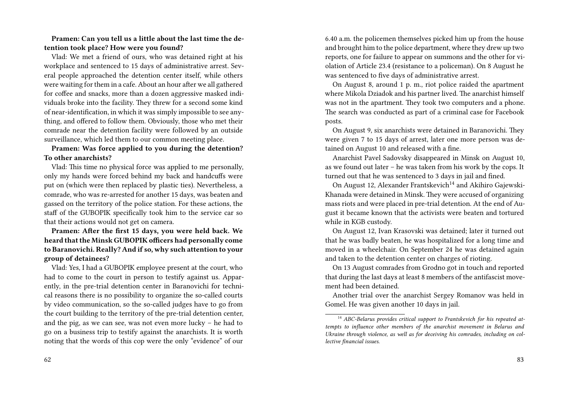#### **Pramen: Can you tell us a little about the last time the detention took place? How were you found?**

Vlad: We met a friend of ours, who was detained right at his workplace and sentenced to 15 days of administrative arrest. Several people approached the detention center itself, while others were waiting for them in a cafe. About an hour after we all gathered for coffee and snacks, more than a dozen aggressive masked individuals broke into the facility. They threw for a second some kind of near-identification, in which it was simply impossible to see anything, and offered to follow them. Obviously, those who met their comrade near the detention facility were followed by an outside surveillance, which led them to our common meeting place.

#### **Pramen: Was force applied to you during the detention? To other anarchists?**

Vlad: This time no physical force was applied to me personally, only my hands were forced behind my back and handcuffs were put on (which were then replaced by plastic ties). Nevertheless, a comrade, who was re-arrested for another 15 days, was beaten and gassed on the territory of the police station. For these actions, the staff of the GUBOPIK specifically took him to the service car so that their actions would not get on camera.

**Pramen: After the first 15 days, you were held back. We heard that the Minsk GUBOPIK officers had personally come to Baranovichi. Really? And if so, why such attention to your group of detainees?**

Vlad: Yes, I had a GUBOPIK employee present at the court, who had to come to the court in person to testify against us. Apparently, in the pre-trial detention center in Baranovichi for technical reasons there is no possibility to organize the so-called courts by video communication, so the so-called judges have to go from the court building to the territory of the pre-trial detention center, and the pig, as we can see, was not even more lucky – he had to go on a business trip to testify against the anarchists. It is worth noting that the words of this cop were the only "evidence" of our 6.40 a.m. the policemen themselves picked him up from the house and brought him to the police department, where they drew up two reports, one for failure to appear on summons and the other for violation of Article 23.4 (resistance to a policeman). On 8 August he was sentenced to five days of administrative arrest.

On August 8, around 1 p. m., riot police raided the apartment where Mikola Dziadok and his partner lived. The anarchist himself was not in the apartment. They took two computers and a phone. The search was conducted as part of a criminal case for Facebook posts.

On August 9, six anarchists were detained in Baranovichi. They were given 7 to 15 days of arrest, later one more person was detained on August 10 and released with a fine.

Anarchist Pavel Sadovsky disappeared in Minsk on August 10, as we found out later – he was taken from his work by the cops. It turned out that he was sentenced to 3 days in jail and fined.

On August 12, Alexander Frantskevich<sup>14</sup> and Akihiro Gajewski-Khanada were detained in Minsk. They were accused of organizing mass riots and were placed in pre-trial detention. At the end of August it became known that the activists were beaten and tortured while in KGB custody.

On August 12, Ivan Krasovski was detained; later it turned out that he was badly beaten, he was hospitalized for a long time and moved in a wheelchair. On September 24 he was detained again and taken to the detention center on charges of rioting.

On 13 August comrades from Grodno got in touch and reported that during the last days at least 8 members of the antifascist movement had been detained.

Another trial over the anarchist Sergey Romanov was held in Gomel. He was given another 10 days in jail.

<sup>&</sup>lt;sup>14</sup> ABC-Belarus provides critical support to Frantskevich for his repeated at*tempts to influence other members of the anarchist movement in Belarus and Ukraine through violence, as well as for deceiving his comrades, including on collective financial issues.*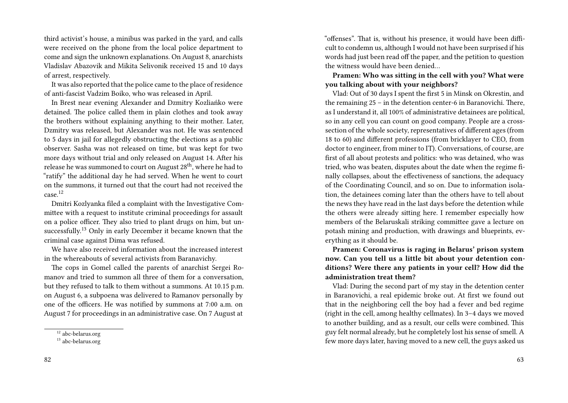third activist's house, a minibus was parked in the yard, and calls were received on the phone from the local police department to come and sign the unknown explanations. On August 8, anarchists Vladislav Abazovik and Mikita Selivonik received 15 and 10 days of arrest, respectively.

It was also reported that the police came to the place of residence of anti-fascist Vadzim Boiko, who was released in April.

In Brest near evening Alexander and Dzmitry Kozliańko were detained. The police called them in plain clothes and took away the brothers without explaining anything to their mother. Later, Dzmitry was released, but Alexander was not. He was sentenced to 5 days in jail for allegedly obstructing the elections as a public observer. Sasha was not released on time, but was kept for two more days without trial and only released on August 14. After his release he was summoned to court on August 28<sup>th</sup>, where he had to "ratify" the additional day he had served. When he went to court on the summons, it turned out that the court had not received the case.<sup>12</sup>

Dmitri Kozlyanka filed a complaint with the Investigative Committee with a request to institute criminal proceedings for assault on a police officer. They also tried to plant drugs on him, but unsuccessfully.<sup>13</sup> Only in early December it became known that the criminal case against Dima was refused.

We have also received information about the increased interest in the whereabouts of several activists from Baranavichy.

The cops in Gomel called the parents of anarchist Sergei Romanov and tried to summon all three of them for a conversation, but they refused to talk to them without a summons. At 10.15 p.m. on August 6, a subpoena was delivered to Ramanov personally by one of the officers. He was notified by summons at 7:00 a.m. on August 7 for proceedings in an administrative case. On 7 August at "offenses". That is, without his presence, it would have been difficult to condemn us, although I would not have been surprised if his words had just been read off the paper, and the petition to question the witness would have been denied…

**Pramen: Who was sitting in the cell with you? What were you talking about with your neighbors?**

Vlad: Out of 30 days I spent the first 5 in Minsk on Okrestin, and the remaining 25 – in the detention center-6 in Baranovichi. There, as I understand it, all 100% of administrative detainees are political, so in any cell you can count on good company. People are a crosssection of the whole society, representatives of different ages (from 18 to 60) and different professions (from bricklayer to CEO, from doctor to engineer, from miner to IT). Conversations, of course, are first of all about protests and politics: who was detained, who was tried, who was beaten, disputes about the date when the regime finally collapses, about the effectiveness of sanctions, the adequacy of the Coordinating Council, and so on. Due to information isolation, the detainees coming later than the others have to tell about the news they have read in the last days before the detention while the others were already sitting here. I remember especially how members of the Belaruskali striking committee gave a lecture on potash mining and production, with drawings and blueprints, everything as it should be.

**Pramen: Coronavirus is raging in Belarus' prison system now. Can you tell us a little bit about your detention conditions? Were there any patients in your cell? How did the administration treat them?**

Vlad: During the second part of my stay in the detention center in Baranovichi, a real epidemic broke out. At first we found out that in the neighboring cell the boy had a fever and bed regime (right in the cell, among healthy cellmates). In 3–4 days we moved to another building, and as a result, our cells were combined. This guy felt normal already, but he completely lost his sense of smell. A few more days later, having moved to a new cell, the guys asked us

<sup>12</sup> abc-belarus.org

 $13$  abc-belarus.org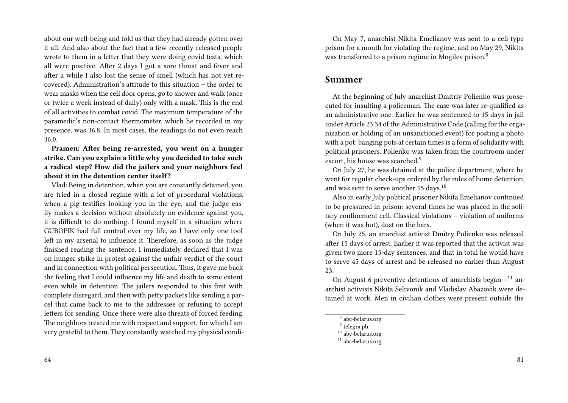about our well-being and told us that they had already gotten over it all. And also about the fact that a few recently released people wrote to them in a letter that they were doing covid tests, which all were positive. After 2 days I got a sore throat and fever and after a while I also lost the sense of smell (which has not yet recovered). Administration's attitude to this situation – the order to wear masks when the cell door opens, go to shower and walk (once or twice a week instead of daily) only with a mask. This is the end of all activities to combat covid. The maximum temperature of the paramedic's non-contact thermometer, which he recorded in my presence, was 36.8. In most cases, the readings do not even reach 36.0.

**Pramen: After being re-arrested, you went on a hunger strike. Can you explain a little why you decided to take such a radical step? How did the jailers and your neighbors feel about it in the detention center itself?**

Vlad: Being in detention, when you are constantly detained, you are tried in a closed regime with a lot of procedural violations, when a pig testifies looking you in the eye, and the judge easily makes a decision without absolutely no evidence against you, it is difficult to do nothing. I found myself in a situation where GUBOPIK had full control over my life, so I have only one tool left in my arsenal to influence it. Therefore, as soon as the judge finished reading the sentence, I immediately declared that I was on hunger strike in protest against the unfair verdict of the court and in connection with political persecution. Thus, it gave me back the feeling that I could influence my life and death to some extent even while in detention. The jailers responded to this first with complete disregard, and then with petty packets like sending a parcel that came back to me to the addressee or refusing to accept letters for sending. Once there were also threats of forced feeding. The neighbors treated me with respect and support, for which I am very grateful to them. They constantly watched my physical condi-

On May 7, anarchist Nikita Emelianov was sent to a cell-type prison for a month for violating the regime, and on May 29, Nikita was transferred to a prison regime in Mogilev prison.<sup>8</sup>

#### **Summer**

At the beginning of July anarchist Dmitriy Polienko was prosecuted for insulting a policeman. The case was later re-qualified as an administrative one. Earlier he was sentenced to 15 days in jail under Article 23.34 of the Administrative Code (calling for the organization or holding of an unsanctioned event) for posting a photo with a pot: banging pots at certain times is a form of solidarity with political prisoners. Polienko was taken from the courtroom under escort, his house was searched.<sup>9</sup>

On July 27, he was detained at the police department, where he went for regular check-ups ordered by the rules of home detention, and was sent to serve another 15 days.<sup>10</sup>

Also in early July political prisoner Nikita Emelianov continued to be pressured in prison: several times he was placed in the solitary confinement cell. Classical violations – violation of uniforms (when it was hot), dust on the bars.

On July 25, an anarchist activist Dmitry Polienko was released after 15 days of arrest. Earlier it was reported that the activist was given two more 15-day sentences, and that in total he would have to serve 45 days of arrest and be released no earlier than August 23.

On August 6 preventive detentions of anarchists began  $-11$  anarchist activists Nikita Selivonik and Vladislav Abazovik were detained at work. Men in civilian clothes were present outside the

- 8 abc-belarus.org
- 9 telegra.ph
- <sup>10</sup> abc-belarus.org

 $11$  abc-belarus.org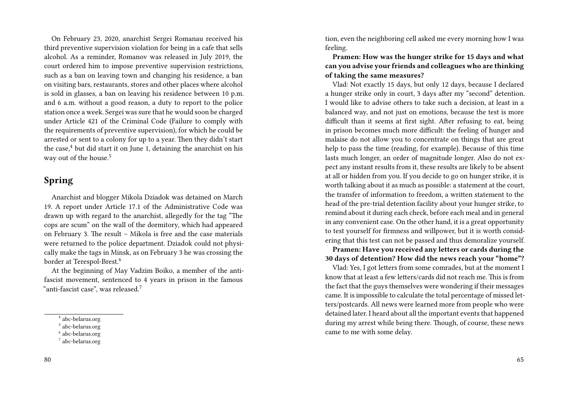On February 23, 2020, anarchist Sergei Romanau received his third preventive supervision violation for being in a cafe that sells alcohol. As a reminder, Romanov was released in July 2019, the court ordered him to impose preventive supervision restrictions, such as a ban on leaving town and changing his residence, a ban on visiting bars, restaurants, stores and other places where alcohol is sold in glasses, a ban on leaving his residence between 10 p.m. and 6 a.m. without a good reason, a duty to report to the police station once a week. Sergei was sure that he would soon be charged under Article 421 of the Criminal Code (Failure to comply with the requirements of preventive supervision), for which he could be arrested or sent to a colony for up to a year. Then they didn't start the case, $4$  but did start it on June 1, detaining the anarchist on his way out of the house.<sup>5</sup>

### **Spring**

Anarchist and blogger Mikola Dziadok was detained on March 19. A report under Article 17.1 of the Administrative Code was drawn up with regard to the anarchist, allegedly for the tag "The cops are scum" on the wall of the dormitory, which had appeared on February 3. The result – Mikola is free and the case materials were returned to the police department. Dziadok could not physically make the tags in Minsk, as on February 3 he was crossing the border at Terespol-Brest.<sup>6</sup>

At the beginning of May Vadzim Boiko, a member of the antifascist movement, sentenced to 4 years in prison in the famous "anti-fascist case", was released.<sup>7</sup>

tion, even the neighboring cell asked me every morning how I was feeling.

**Pramen: How was the hunger strike for 15 days and what can you advise your friends and colleagues who are thinking of taking the same measures?**

Vlad: Not exactly 15 days, but only 12 days, because I declared a hunger strike only in court, 3 days after my "second" detention. I would like to advise others to take such a decision, at least in a balanced way, and not just on emotions, because the test is more difficult than it seems at first sight. After refusing to eat, being in prison becomes much more difficult: the feeling of hunger and malaise do not allow you to concentrate on things that are great help to pass the time (reading, for example). Because of this time lasts much longer, an order of magnitude longer. Also do not expect any instant results from it, these results are likely to be absent at all or hidden from you. If you decide to go on hunger strike, it is worth talking about it as much as possible: a statement at the court, the transfer of information to freedom, a written statement to the head of the pre-trial detention facility about your hunger strike, to remind about it during each check, before each meal and in general in any convenient case. On the other hand, it is a great opportunity to test yourself for firmness and willpower, but it is worth considering that this test can not be passed and thus demoralize yourself.

**Pramen: Have you received any letters or cards during the 30 days of detention? How did the news reach your "home"?**

Vlad: Yes, I got letters from some comrades, but at the moment I know that at least a few letters/cards did not reach me. This is from the fact that the guys themselves were wondering if their messages came. It is impossible to calculate the total percentage of missed letters/postcards. All news were learned more from people who were detained later. I heard about all the important events that happened during my arrest while being there. Though, of course, these news came to me with some delay.

<sup>4</sup> abc-belarus.org

<sup>5</sup> abc-belarus.org

<sup>6</sup> abc-belarus.org

<sup>7</sup> abc-belarus.org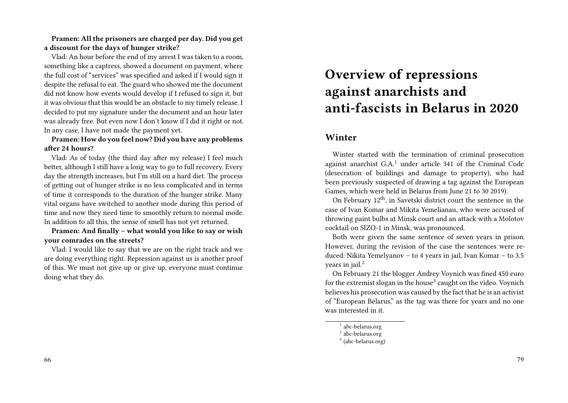#### **Pramen: All the prisoners are charged per day. Did you get a discount for the days of hunger strike?**

Vlad: An hour before the end of my arrest I was taken to a room, something like a captress, showed a document on payment, where the full cost of "services" was specified and asked if I would sign it despite the refusal to eat. The guard who showed me the document did not know how events would develop if I refused to sign it, but it was obvious that this would be an obstacle to my timely release. I decided to put my signature under the document and an hour later was already free. But even now I don't know if I did it right or not. In any case, I have not made the payment yet.

#### **Pramen: How do you feel now? Did you have any problems after 24 hours?**

Vlad: As of today (the third day after my release) I feel much better, although I still have a long way to go to full recovery. Every day the strength increases, but I'm still on a hard diet. The process of getting out of hunger strike is no less complicated and in terms of time it corresponds to the duration of the hunger strike. Many vital organs have switched to another mode during this period of time and now they need time to smoothly return to normal mode. In addition to all this, the sense of smell has not yet returned.

**Pramen: And finally – what would you like to say or wish your comrades on the streets?**

Vlad: I would like to say that we are on the right track and we are doing everything right. Repression against us is another proof of this. We must not give up or give up, everyone must continue doing what they do.

# **Overview of repressions against anarchists and anti-fascists in Belarus in 2020**

### **Winter**

Winter started with the termination of criminal prosecution against anarchist G.A.<sup>1</sup> under article 341 of the Criminal Code (desecration of buildings and damage to property), who had been previously suspected of drawing a tag against the European Games, which were held in Belarus from June 21 to 30 2019).

On February  $12<sup>th</sup>$ , in Savetski district court the sentence in the case of Ivan Komar and Mikita Yemelianau, who were accused of throwing paint bulbs at Minsk court and an attack with a Molotov cocktail on SIZO-1 in Minsk, was pronounced.

Both were given the same sentence of seven years in prison. However, during the revision of the case the sentences were reduced: Nikita Yemelyanov – to 4 years in jail, Ivan Komar – to 3.5 vears in jail. $2$ 

On February 21 the blogger Andrey Voynich was fined 450 euro for the extremist slogan in the house<sup>3</sup> caught on the video. Voynich believes his prosecution was caused by the fact that he is an activist of "European Belarus," as the tag was there for years and no one was interested in it.

<sup>1</sup> abc-belarus.org

<sup>2</sup> abc-belarus.org

<sup>3</sup> (abc-belarus.org)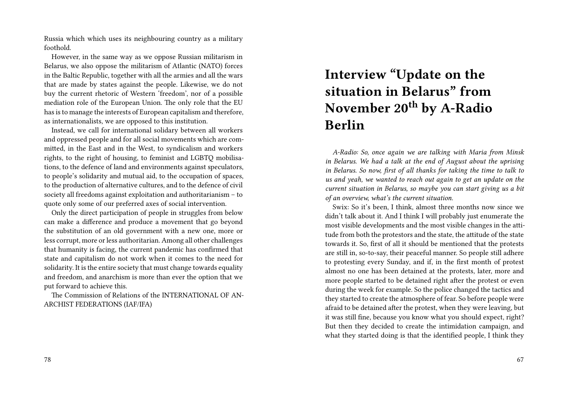Russia which which uses its neighbouring country as a military foothold.

However, in the same way as we oppose Russian militarism in Belarus, we also oppose the militarism of Atlantic (NATO) forces in the Baltic Republic, together with all the armies and all the wars that are made by states against the people. Likewise, we do not buy the current rhetoric of Western 'freedom', nor of a possible mediation role of the European Union. The only role that the EU has is to manage the interests of European capitalism and therefore, as internationalists, we are opposed to this institution.

Instead, we call for international solidary between all workers and oppressed people and for all social movements which are committed, in the East and in the West, to syndicalism and workers rights, to the right of housing, to feminist and LGBTQ mobilisations, to the defence of land and environments against speculators, to people's solidarity and mutual aid, to the occupation of spaces, to the production of alternative cultures, and to the defence of civil society all freedoms against exploitation and authoritarianism – to quote only some of our preferred axes of social intervention.

Only the direct participation of people in struggles from below can make a difference and produce a movement that go beyond the substitution of an old government with a new one, more or less corrupt, more or less authoritarian. Among all other challenges that humanity is facing, the current pandemic has confirmed that state and capitalism do not work when it comes to the need for solidarity. It is the entire society that must change towards equality and freedom, and anarchism is more than ever the option that we put forward to achieve this.

The Commission of Relations of the INTERNATIONAL OF AN-ARCHIST FEDERATIONS (IAF/IFA)

# **Interview "Update on the situation in Belarus" from November 20th by A-Radio Berlin**

*A-Radio: So, once again we are talking with Maria from Minsk in Belarus. We had a talk at the end of August about the uprising in Belarus. So now, first of all thanks for taking the time to talk to us and yeah, we wanted to reach out again to get an update on the current situation in Belarus, so maybe you can start giving us a bit of an overview, what's the current situation.*

Swix: So it's been, I think, almost three months now since we didn't talk about it. And I think I will probably just enumerate the most visible developments and the most visible changes in the attitude from both the protestors and the state, the attitude of the state towards it. So, first of all it should be mentioned that the protests are still in, so-to-say, their peaceful manner. So people still adhere to protesting every Sunday, and if, in the first month of protest almost no one has been detained at the protests, later, more and more people started to be detained right after the protest or even during the week for example. So the police changed the tactics and they started to create the atmosphere of fear. So before people were afraid to be detained after the protest, when they were leaving, but it was still fine, because you know what you should expect, right? But then they decided to create the intimidation campaign, and what they started doing is that the identified people, I think they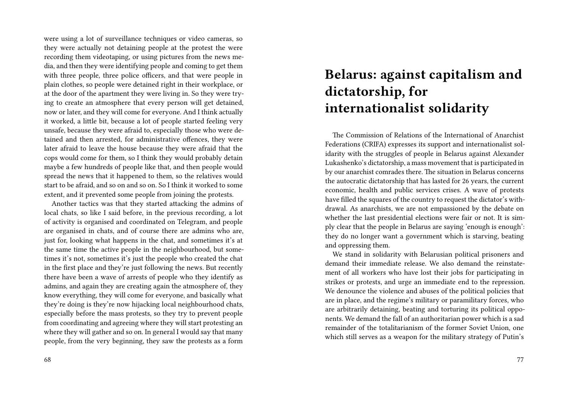were using a lot of surveillance techniques or video cameras, so they were actually not detaining people at the protest the were recording them videotaping, or using pictures from the news media, and then they were identifying people and coming to get them with three people, three police officers, and that were people in plain clothes, so people were detained right in their workplace, or at the door of the apartment they were living in. So they were trying to create an atmosphere that every person will get detained, now or later, and they will come for everyone. And I think actually it worked, a little bit, because a lot of people started feeling very unsafe, because they were afraid to, especially those who were detained and then arrested, for administrative offences, they were later afraid to leave the house because they were afraid that the cops would come for them, so I think they would probably detain maybe a few hundreds of people like that, and then people would spread the news that it happened to them, so the relatives would start to be afraid, and so on and so on. So I think it worked to some extent, and it prevented some people from joining the protests.

Another tactics was that they started attacking the admins of local chats, so like I said before, in the previous recording, a lot of activity is organised and coordinated on Telegram, and people are organised in chats, and of course there are admins who are, just for, looking what happens in the chat, and sometimes it's at the same time the active people in the neighbourhood, but sometimes it's not, sometimes it's just the people who created the chat in the first place and they're just following the news. But recently there have been a wave of arrests of people who they identify as admins, and again they are creating again the atmosphere of, they know everything, they will come for everyone, and basically what they're doing is they're now hijacking local neighbourhood chats, especially before the mass protests, so they try to prevent people from coordinating and agreeing where they will start protesting an where they will gather and so on. In general I would say that many people, from the very beginning, they saw the protests as a form

## **Belarus: against capitalism and dictatorship, for internationalist solidarity**

The Commission of Relations of the International of Anarchist Federations (CRIFA) expresses its support and internationalist solidarity with the struggles of people in Belarus against Alexander Lukashenko's dictatorship, a mass movement that is participated in by our anarchist comrades there. The situation in Belarus concerns the autocratic dictatorship that has lasted for 26 years, the current economic, health and public services crises. A wave of protests have filled the squares of the country to request the dictator's withdrawal. As anarchists, we are not empassioned by the debate on whether the last presidential elections were fair or not. It is simply clear that the people in Belarus are saying 'enough is enough': they do no longer want a government which is starving, beating and oppressing them.

We stand in solidarity with Belarusian political prisoners and demand their immediate release. We also demand the reinstatement of all workers who have lost their jobs for participating in strikes or protests, and urge an immediate end to the repression. We denounce the violence and abuses of the political policies that are in place, and the regime's military or paramilitary forces, who are arbitrarily detaining, beating and torturing its political opponents. We demand the fall of an authoritarian power which is a sad remainder of the totalitarianism of the former Soviet Union, one which still serves as a weapon for the military strategy of Putin's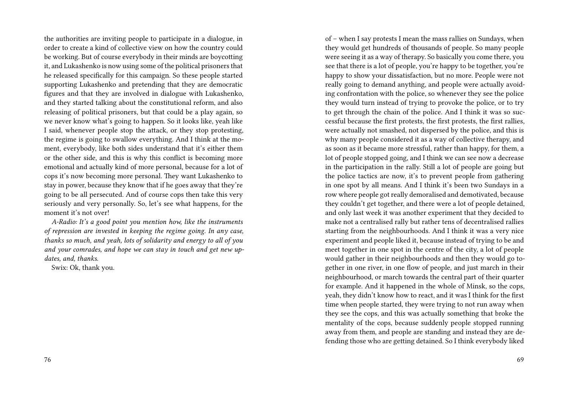the authorities are inviting people to participate in a dialogue, in order to create a kind of collective view on how the country could be working. But of course everybody in their minds are boycotting it, and Lukashenko is now using some of the political prisoners that he released specifically for this campaign. So these people started supporting Lukashenko and pretending that they are democratic figures and that they are involved in dialogue with Lukashenko, and they started talking about the constitutional reform, and also releasing of political prisoners, but that could be a play again, so we never know what's going to happen. So it looks like, yeah like I said, whenever people stop the attack, or they stop protesting, the regime is going to swallow everything. And I think at the moment, everybody, like both sides understand that it's either them or the other side, and this is why this conflict is becoming more emotional and actually kind of more personal, because for a lot of cops it's now becoming more personal. They want Lukashenko to stay in power, because they know that if he goes away that they're going to be all persecuted. And of course cops then take this very seriously and very personally. So, let's see what happens, for the moment it's not over!

*A-Radio: It's a good point you mention how, like the instruments of repression are invested in keeping the regime going. In any case, thanks so much, and yeah, lots of solidarity and energy to all of you and your comrades, and hope we can stay in touch and get new updates, and, thanks.*

Swix: Ok, thank you.

of – when I say protests I mean the mass rallies on Sundays, when they would get hundreds of thousands of people. So many people were seeing it as a way of therapy. So basically you come there, you see that there is a lot of people, you're happy to be together, you're happy to show your dissatisfaction, but no more. People were not really going to demand anything, and people were actually avoiding confrontation with the police, so whenever they see the police they would turn instead of trying to provoke the police, or to try to get through the chain of the police. And I think it was so successful because the first protests, the first protests, the first rallies, were actually not smashed, not dispersed by the police, and this is why many people considered it as a way of collective therapy, and as soon as it became more stressful, rather than happy, for them, a lot of people stopped going, and I think we can see now a decrease in the participation in the rally. Still a lot of people are going but the police tactics are now, it's to prevent people from gathering in one spot by all means. And I think it's been two Sundays in a row where people got really demoralised and demotivated, because they couldn't get together, and there were a lot of people detained, and only last week it was another experiment that they decided to make not a centralised rally but rather tens of decentralised rallies starting from the neighbourhoods. And I think it was a very nice experiment and people liked it, because instead of trying to be and meet together in one spot in the centre of the city, a lot of people would gather in their neighbourhoods and then they would go together in one river, in one flow of people, and just march in their neighbourhood, or march towards the central part of their quarter for example. And it happened in the whole of Minsk, so the cops, yeah, they didn't know how to react, and it was I think for the first time when people started, they were trying to not run away when they see the cops, and this was actually something that broke the mentality of the cops, because suddenly people stopped running away from them, and people are standing and instead they are defending those who are getting detained. So I think everybody liked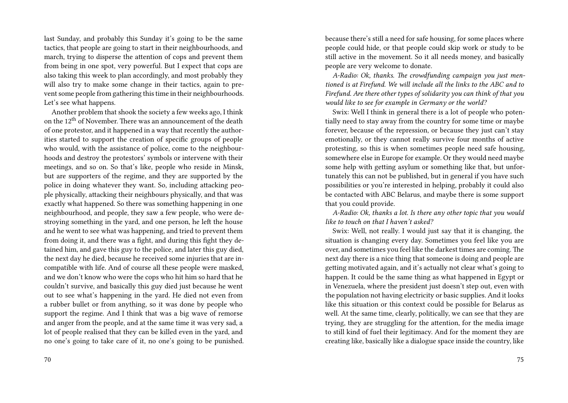last Sunday, and probably this Sunday it's going to be the same tactics, that people are going to start in their neighbourhoods, and march, trying to disperse the attention of cops and prevent them from being in one spot, very powerful. But I expect that cops are also taking this week to plan accordingly, and most probably they will also try to make some change in their tactics, again to prevent some people from gathering this time in their neighbourhoods. Let's see what happens.

Another problem that shook the society a few weeks ago, I think on the 12<sup>th</sup> of November. There was an announcement of the death of one protestor, and it happened in a way that recently the authorities started to support the creation of specific groups of people who would, with the assistance of police, come to the neighbourhoods and destroy the protestors' symbols or intervene with their meetings, and so on. So that's like, people who reside in Minsk, but are supporters of the regime, and they are supported by the police in doing whatever they want. So, including attacking people physically, attacking their neighbours physically, and that was exactly what happened. So there was something happening in one neighbourhood, and people, they saw a few people, who were destroying something in the yard, and one person, he left the house and he went to see what was happening, and tried to prevent them from doing it, and there was a fight, and during this fight they detained him, and gave this guy to the police, and later this guy died, the next day he died, because he received some injuries that are incompatible with life. And of course all these people were masked, and we don't know who were the cops who hit him so hard that he couldn't survive, and basically this guy died just because he went out to see what's happening in the yard. He died not even from a rubber bullet or from anything, so it was done by people who support the regime. And I think that was a big wave of remorse and anger from the people, and at the same time it was very sad, a lot of people realised that they can be killed even in the yard, and no one's going to take care of it, no one's going to be punished.

because there's still a need for safe housing, for some places where people could hide, or that people could skip work or study to be still active in the movement. So it all needs money, and basically people are very welcome to donate.

*A-Radio: Ok, thanks. The crowdfunding campaign you just mentioned is at Firefund. We will include all the links to the ABC and to Firefund. Are there other types of solidarity you can think of that you would like to see for example in Germany or the world?*

Swix: Well I think in general there is a lot of people who potentially need to stay away from the country for some time or maybe forever, because of the repression, or because they just can't stay emotionally, or they cannot really survive four months of active protesting, so this is when sometimes people need safe housing, somewhere else in Europe for example. Or they would need maybe some help with getting asylum or something like that, but unfortunately this can not be published, but in general if you have such possibilities or you're interested in helping, probably it could also be contacted with ABC Belarus, and maybe there is some support that you could provide.

*A-Radio: Ok, thanks a lot. Is there any other topic that you would like to touch on that I haven't asked?*

Swix: Well, not really. I would just say that it is changing, the situation is changing every day. Sometimes you feel like you are over, and sometimes you feel like the darkest times are coming. The next day there is a nice thing that someone is doing and people are getting motivated again, and it's actually not clear what's going to happen. It could be the same thing as what happened in Egypt or in Venezuela, where the president just doesn't step out, even with the population not having electricity or basic supplies. And it looks like this situation or this context could be possible for Belarus as well. At the same time, clearly, politically, we can see that they are trying, they are struggling for the attention, for the media image to still kind of fuel their legitimacy. And for the moment they are creating like, basically like a dialogue space inside the country, like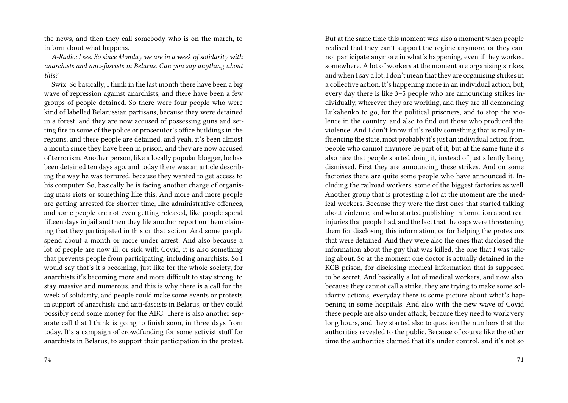the news, and then they call somebody who is on the march, to inform about what happens.

*A-Radio: I see. So since Monday we are in a week of solidarity with anarchists and anti-fascists in Belarus. Can you say anything about this?*

Swix: So basically, I think in the last month there have been a big wave of repression against anarchists, and there have been a few groups of people detained. So there were four people who were kind of labelled Belarussian partisans, because they were detained in a forest, and they are now accused of possessing guns and setting fire to some of the police or prosecutor's office buildings in the regions, and these people are detained, and yeah, it's been almost a month since they have been in prison, and they are now accused of terrorism. Another person, like a locally popular blogger, he has been detained ten days ago, and today there was an article describing the way he was tortured, because they wanted to get access to his computer. So, basically he is facing another charge of organising mass riots or something like this. And more and more people are getting arrested for shorter time, like administrative offences, and some people are not even getting released, like people spend fifteen days in jail and then they file another report on them claiming that they participated in this or that action. And some people spend about a month or more under arrest. And also because a lot of people are now ill, or sick with Covid, it is also something that prevents people from participating, including anarchists. So I would say that's it's becoming, just like for the whole society, for anarchists it's becoming more and more difficult to stay strong, to stay massive and numerous, and this is why there is a call for the week of solidarity, and people could make some events or protests in support of anarchists and anti-fascists in Belarus, or they could possibly send some money for the ABC. There is also another separate call that I think is going to finish soon, in three days from today. It's a campaign of crowdfunding for some activist stuff for anarchists in Belarus, to support their participation in the protest, realised that they can't support the regime anymore, or they cannot participate anymore in what's happening, even if they worked somewhere. A lot of workers at the moment are organising strikes, and when I say a lot, I don't mean that they are organising strikes in a collective action. It's happening more in an individual action, but, every day there is like 3–5 people who are announcing strikes individually, wherever they are working, and they are all demanding Lukahenko to go, for the political prisoners, and to stop the violence in the country, and also to find out those who produced the violence. And I don't know if it's really something that is really influencing the state, most probably it's just an individual action from people who cannot anymore be part of it, but at the same time it's also nice that people started doing it, instead of just silently being dismissed. First they are announcing these strikes. And on some factories there are quite some people who have announced it. Including the railroad workers, some of the biggest factories as well. Another group that is protesting a lot at the moment are the medical workers. Because they were the first ones that started talking about violence, and who started publishing information about real injuries that people had, and the fact that the cops were threatening them for disclosing this information, or for helping the protestors that were detained. And they were also the ones that disclosed the information about the guy that was killed, the one that I was talking about. So at the moment one doctor is actually detained in the KGB prison, for disclosing medical information that is supposed to be secret. And basically a lot of medical workers, and now also, because they cannot call a strike, they are trying to make some solidarity actions, everyday there is some picture about what's happening in some hospitals. And also with the new wave of Covid these people are also under attack, because they need to work very long hours, and they started also to question the numbers that the authorities revealed to the public. Because of course like the other time the authorities claimed that it's under control, and it's not so

But at the same time this moment was also a moment when people